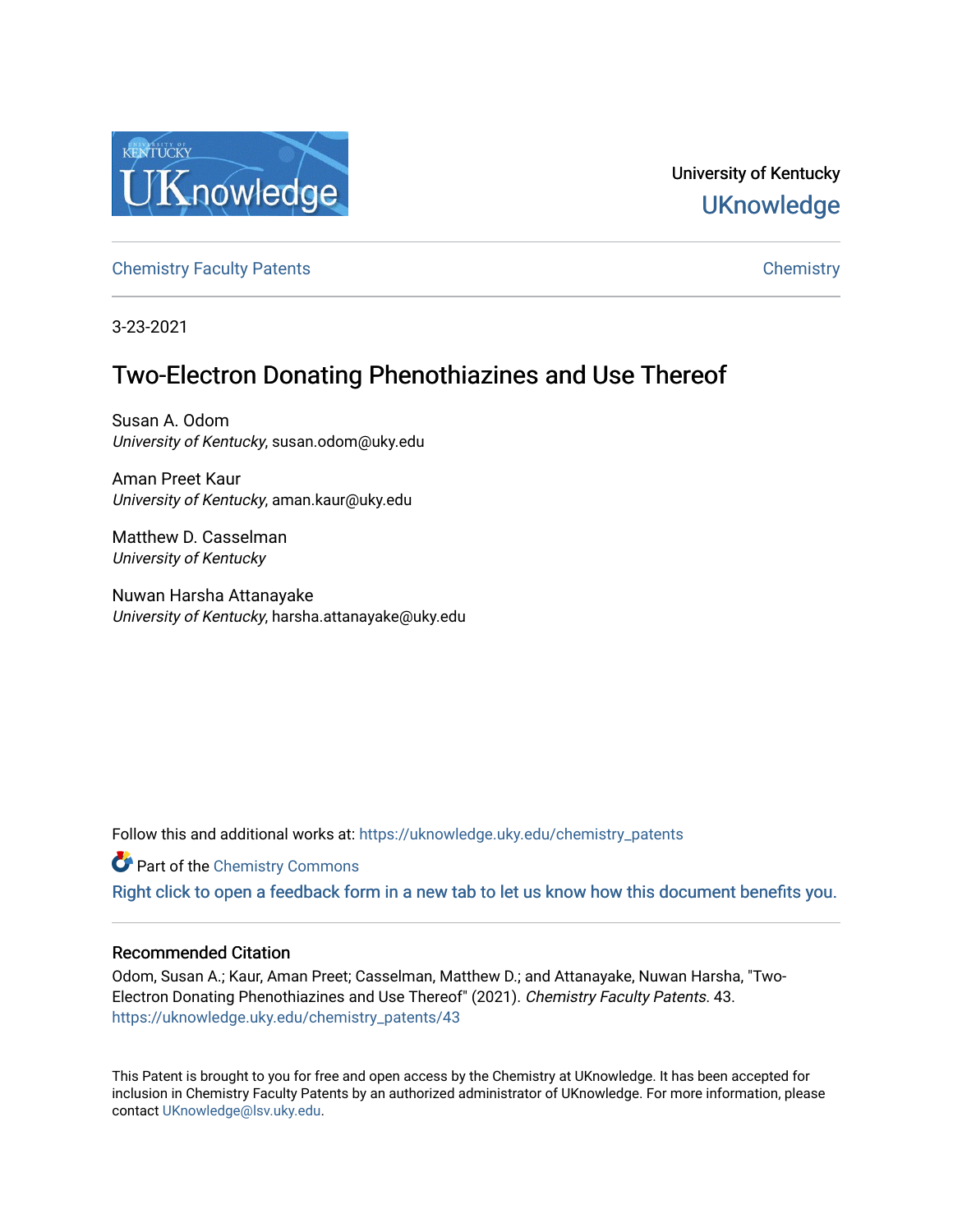

University of Kentucky **UKnowledge** 

[Chemistry Faculty Patents](https://uknowledge.uky.edu/chemistry_patents) **Chemistry** Chemistry

3-23-2021

# Two-Electron Donating Phenothiazines and Use Thereof

Susan A. Odom University of Kentucky, susan.odom@uky.edu

Aman Preet Kaur University of Kentucky, aman.kaur@uky.edu

Matthew D. Casselman University of Kentucky

Nuwan Harsha Attanayake University of Kentucky, harsha.attanayake@uky.edu

Follow this and additional works at: [https://uknowledge.uky.edu/chemistry\\_patents](https://uknowledge.uky.edu/chemistry_patents?utm_source=uknowledge.uky.edu%2Fchemistry_patents%2F43&utm_medium=PDF&utm_campaign=PDFCoverPages)

**Part of the Chemistry Commons** 

[Right click to open a feedback form in a new tab to let us know how this document benefits you.](https://uky.az1.qualtrics.com/jfe/form/SV_9mq8fx2GnONRfz7)

### Recommended Citation

Odom, Susan A.; Kaur, Aman Preet; Casselman, Matthew D.; and Attanayake, Nuwan Harsha, "Two-Electron Donating Phenothiazines and Use Thereof" (2021). Chemistry Faculty Patents. 43. [https://uknowledge.uky.edu/chemistry\\_patents/43](https://uknowledge.uky.edu/chemistry_patents/43?utm_source=uknowledge.uky.edu%2Fchemistry_patents%2F43&utm_medium=PDF&utm_campaign=PDFCoverPages) 

This Patent is brought to you for free and open access by the Chemistry at UKnowledge. It has been accepted for inclusion in Chemistry Faculty Patents by an authorized administrator of UKnowledge. For more information, please contact [UKnowledge@lsv.uky.edu](mailto:UKnowledge@lsv.uky.edu).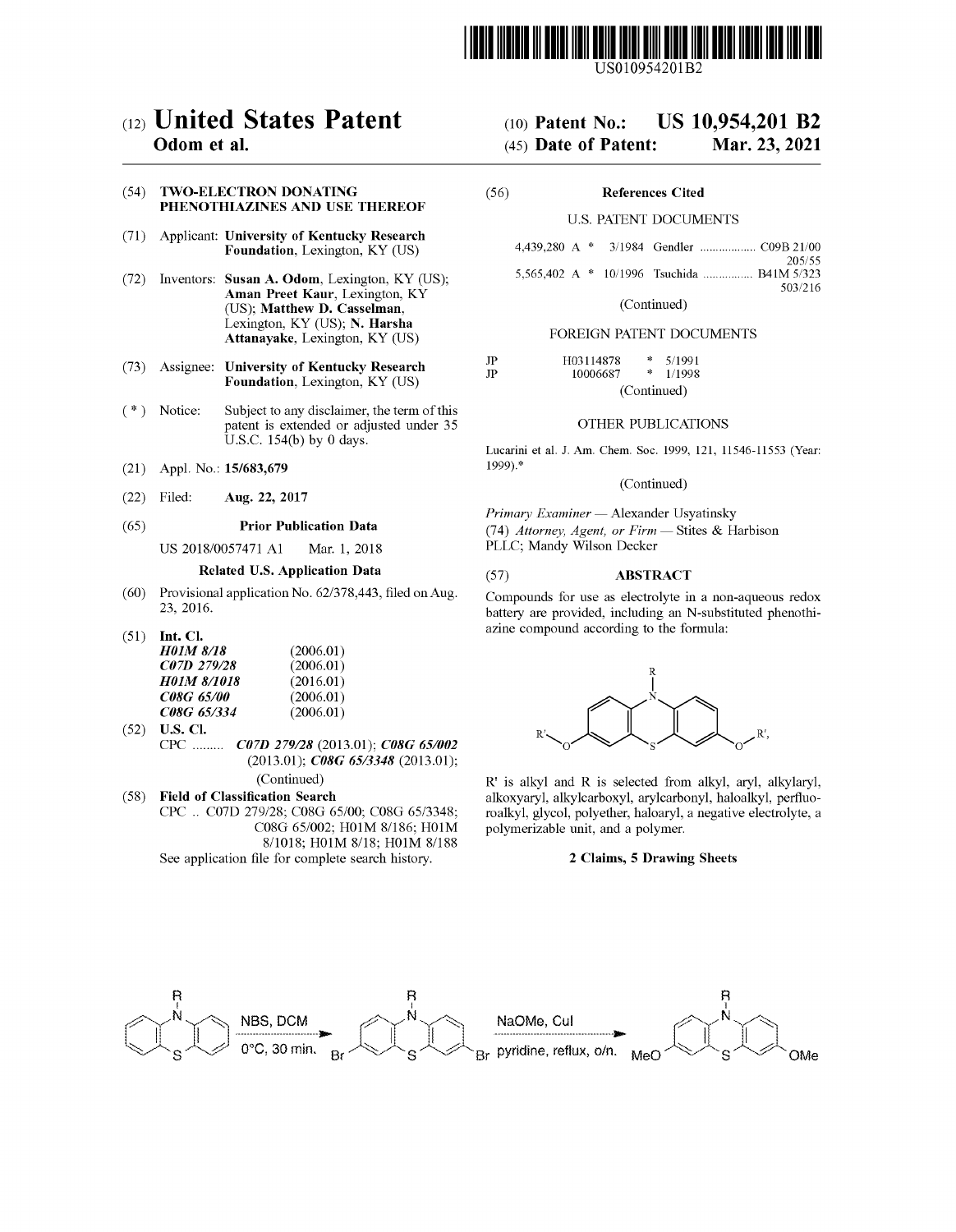

US010954201B2

## c12) **United States Patent**

### **Odom et al.**

### (54) **TWO-ELECTRON DONATING PHENOTHIAZINES AND USE THEREOF**

- (71) Applicant: **University of Kentucky Research Foundation,** Lexington, KY (US)
- (72) Inventors: **Susan A. Odom,** Lexington, KY (US); **Aman Preet Kaur,** Lexington, KY (US); **Matthew D. Casselman,**  Lexington, KY (US); **N. Harsha Attanayake,** Lexington, KY (US)
- (73) Assignee: **University of Kentucky Research Foundation,** Lexington, KY (US)
- (\*) Notice: Subject to any disclaimer, the term of this patent is extended or adjusted under 35 U.S.C. 154(b) by 0 days.
- (21) Appl. No.: **15/683,679**
- (22) Filed: **Aug. 22, 2017**

### (65) **Prior Publication Data**

US 2018/0057471 Al Mar. 1, 2018

### **Related U.S. Application Data**

- (60) Provisional application No. 62/378,443, filed on Aug. 23, 2016.
- (51) **Int. Cl.**

| H01M 8/18                | (2006.01) |
|--------------------------|-----------|
| C07D 279/28              | (2006.01) |
| <b>HO1M 8/1018</b>       | (2016.01) |
| <i><b>C08G 65/00</b></i> | (2006.01) |
| <i>C08G 65/334</i>       | (2006.01) |

(52) **U.S. Cl.**  CPC ......... *C07D 279128* (2013.01); *C08G 65/002*  (2013.01); *C08G 65/3348* (2013.01);

(Continued)

( 58) **Field of Classification Search**  CPC .. C07D 279/28; C08G 65/00; C08G 65/3348; C08G 65/002; H0lM 8/186; H0lM 8/1018; H0lM 8/18; H0lM 8/188 See application file for complete search history.

## (IO) **Patent No.: US 10,954,201 B2**

## (45) **Date of Patent: Mar.23,2021**

| (56) | <b>References Cited</b> |  |
|------|-------------------------|--|
|      |                         |  |

### U.S. PATENT DOCUMENTS

|  |  | 205/55                                     |
|--|--|--------------------------------------------|
|  |  | 5,565,402 A * 10/1996 Tsuchida  B41M 5/323 |
|  |  | 503/216                                    |

(Continued)

### FOREIGN PATENT DOCUMENTS

| JP | H03114878 | 永           | 5/1991 |  |  |
|----|-----------|-------------|--------|--|--|
| JP | 10006687  | -1          | 1/1998 |  |  |
|    |           | (Continued) |        |  |  |

### OTHER PUBLICATIONS

Lucarini et al. J. Am. Chem. Soc. 1999, 121, 11546-11553 (Year: 1999).\*

### (Continued)

*Primary Examiner* - Alexander Usyatinsky (74) *Attorney, Agent, or Firm* - Stites & Harbison PLLC; Mandy Wilson Decker

### (57) **ABSTRACT**

Compounds for use as electrolyte in a non-aqueous redox battery are provided, including an N-substituted phenothiazine compound according to the formula:



R' is alkyl and R is selected from alkyl, aryl, alkylaryl, alkoxyaryl, alkylcarboxyl, arylcarbonyl, haloalkyl, perfluoroalkyl, glycol, polyether, haloaryl, a negative electrolyte, a polymerizable unit, and a polymer.

### **2 Claims, 5 Drawing Sheets**

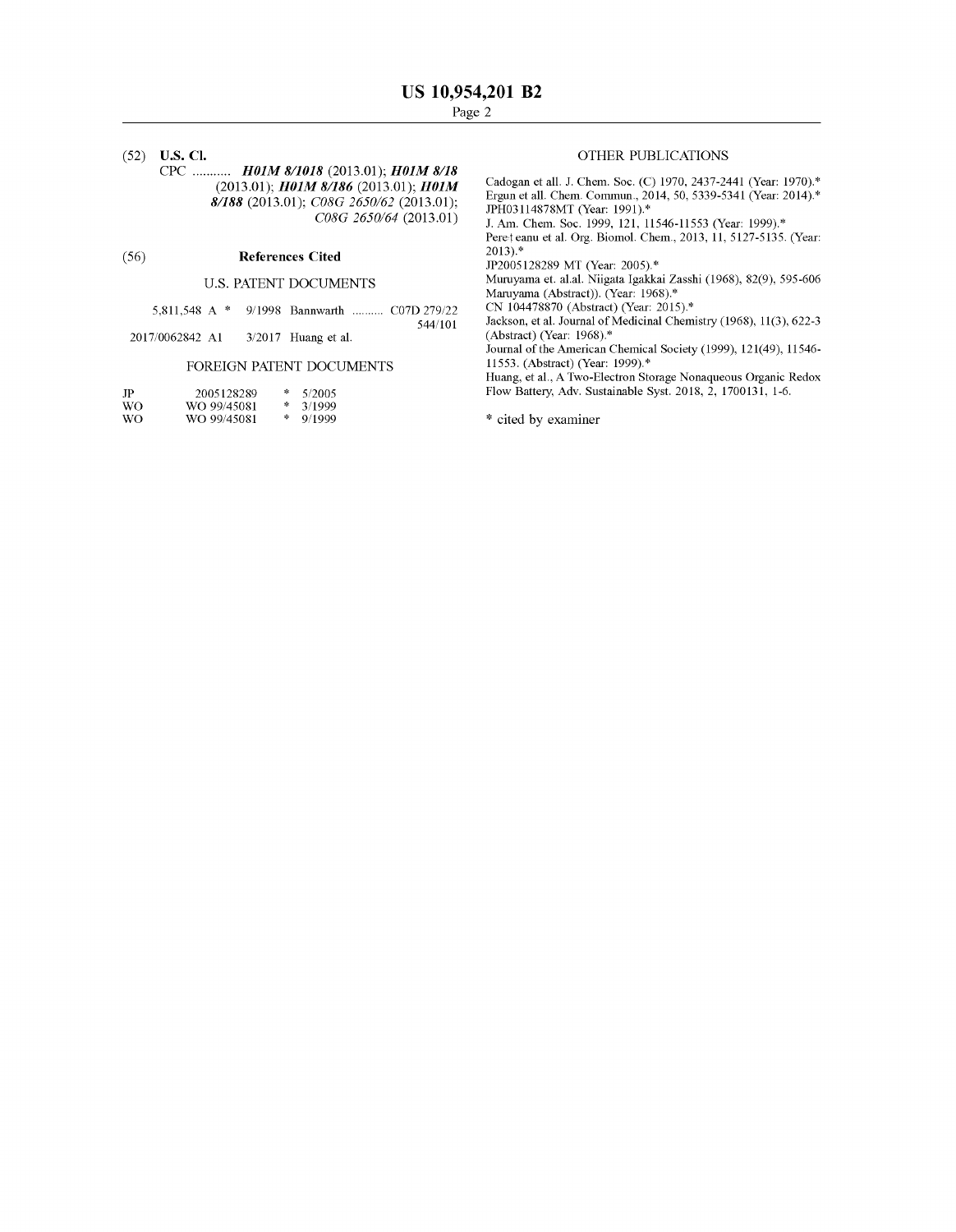(52) **U.S. Cl.**  CPC ........... *HOlM 8/1018* (2013.01); *HOlM 8/18*  (2013.01); *HOlM 8/186* (2013.01); *HOlM 8/188* (2013.01); *C08G 2650/62* (2013.01); *C08G 2650/64* (2013.01)

### (56) **References Cited**

### U.S. PATENT DOCUMENTS

| 5,811,548 A * 9/1998 Bannwarth  C07D 279/22 |  |         |
|---------------------------------------------|--|---------|
|                                             |  | 544/101 |

2017 /0062842 Al 3/2017 Huang et al.

### FOREIGN PATENT DOCUMENTS

| JP  | 2005128289  | 涞 | 5/2005 |
|-----|-------------|---|--------|
| WO. | WO 99/45081 | 咏 | 3/1999 |
| WO. | WO 99/45081 | 冰 | 9/1999 |

### OTHER PUBLICATIONS

Cadogan et all. J. Chem. Soc. (C) 1970, 2437-2441 (Year: 1970).\* Ergun et all. Chem. Commun., 2014, 50, 5339-5341 (Year: 2014).\* JPH03114878MT (Year: 1991).\*

J. Am. Chem. Soc. 1999, 121, 11546-11553 (Year: 1999).\*

Peret eanu et al. Org. Biomol. Chem., 2013, 11, 5127-5135. (Year: 2013).\*

JP2005128289 MT (Year: 2005).\*

Muruyama et. al.al. Niigata Igakkai Zasshi (1968), 82(9), 595-606 Maruyama (Abstract)). (Year: 1968).\*

CN 104478870 (Abstract) (Year: 2015).\*

Jackson, et al. Journal of Medicinal Chemistry (1968), 11(3), 622-3 (Abstract) (Year: 1968).\*

Journal of the American Chemical Society (1999), 121(49), 11546- 11553. (Abstract) (Year: 1999).\*

Huang, et al., A Two-Electron Storage Nonaqueous Organic Redox Flow Battery, Adv. Sustainable Syst. 2018, 2, 1700131, 1-6.

\* cited by examiner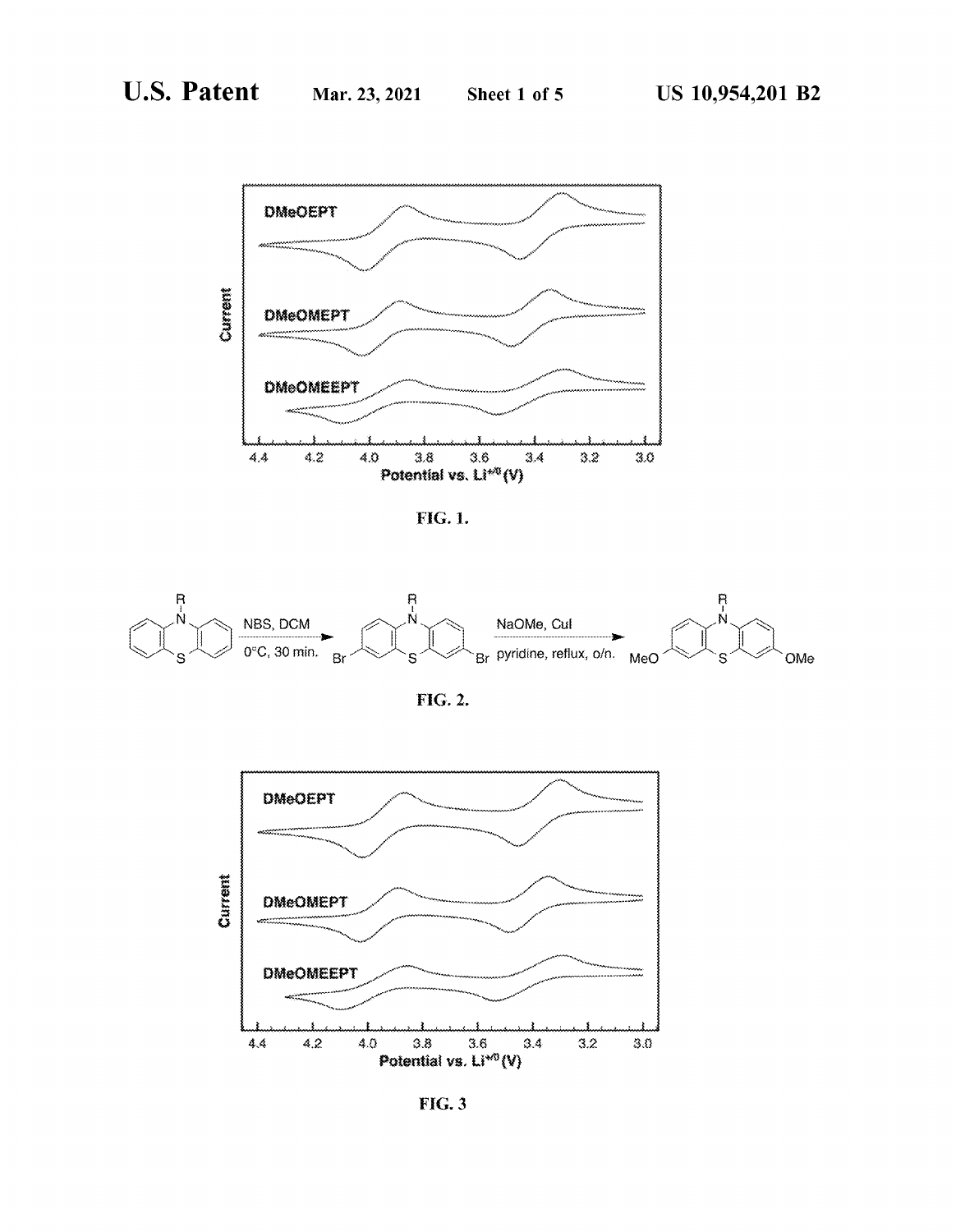

FIG. 1.



FIG. 2.



**FIG. 3**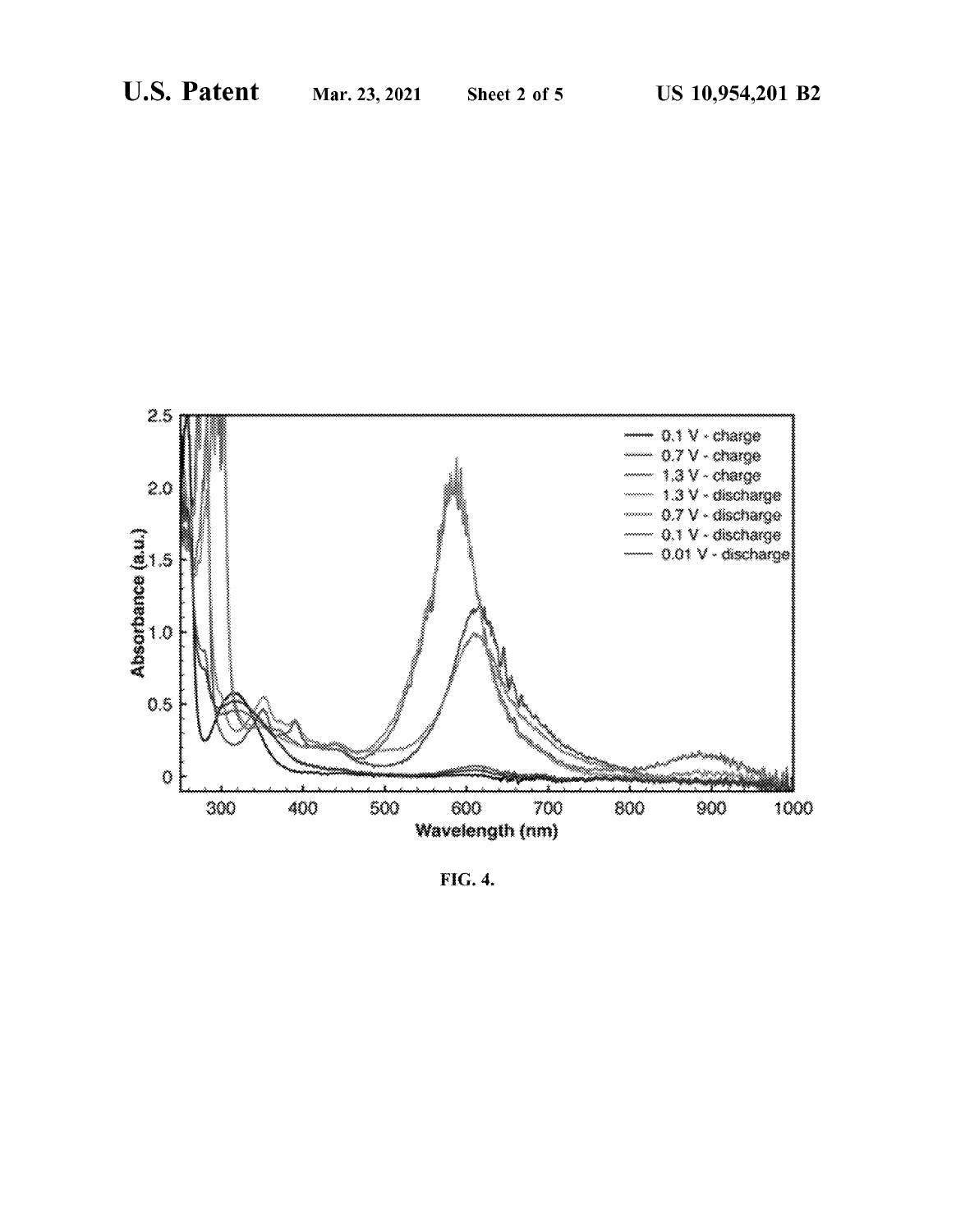

FIG. 4.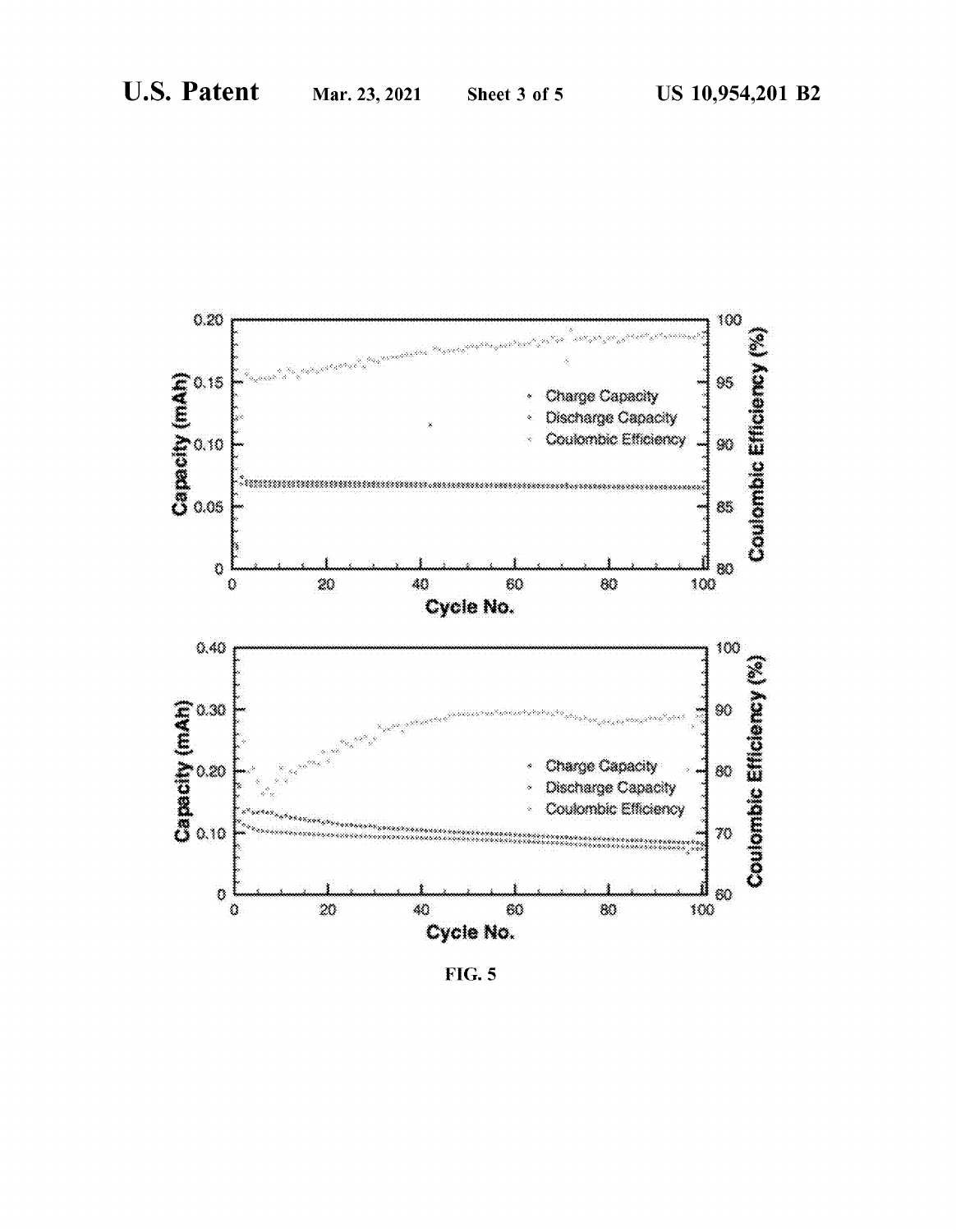

**FIG. 5**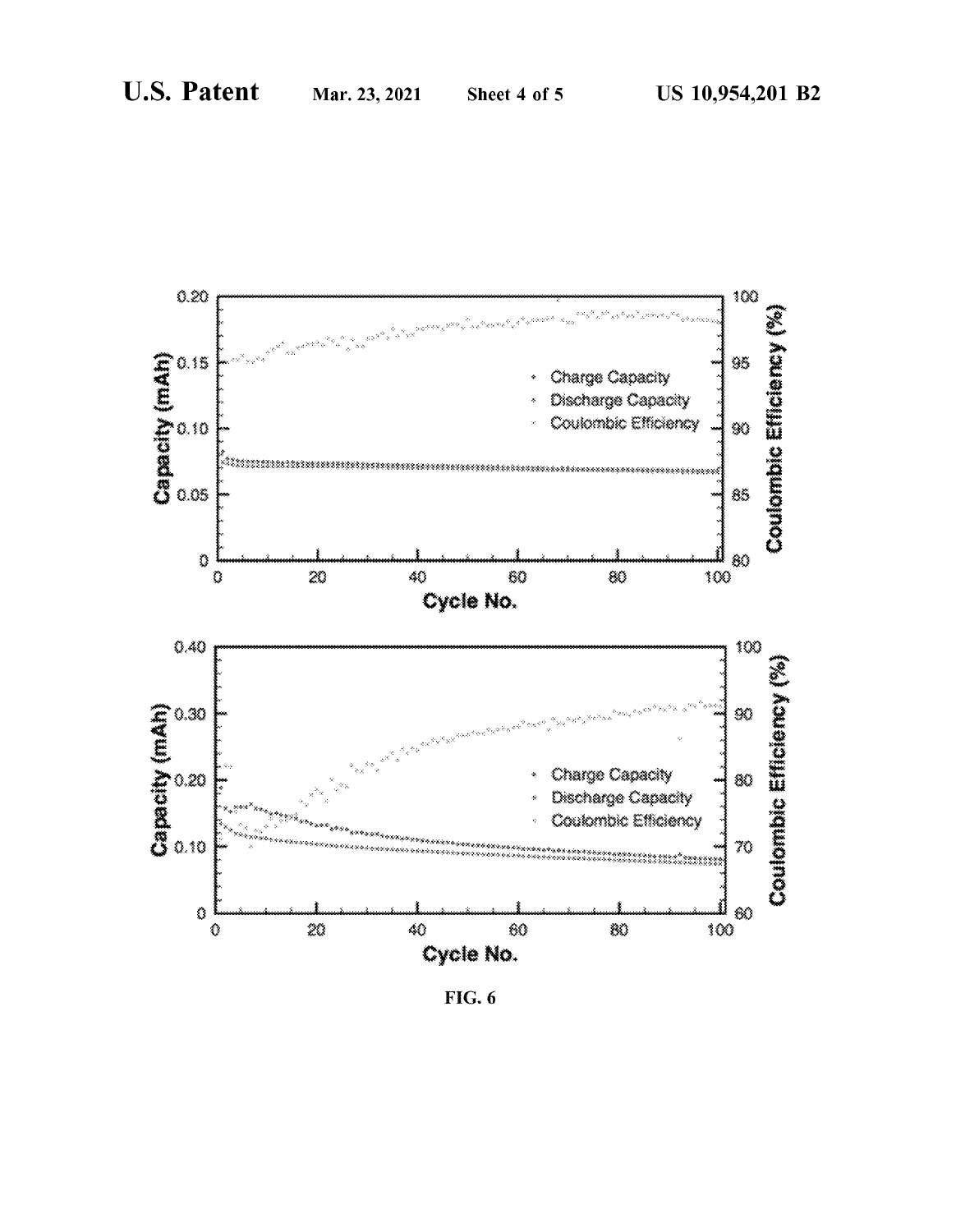

**FIG.** 6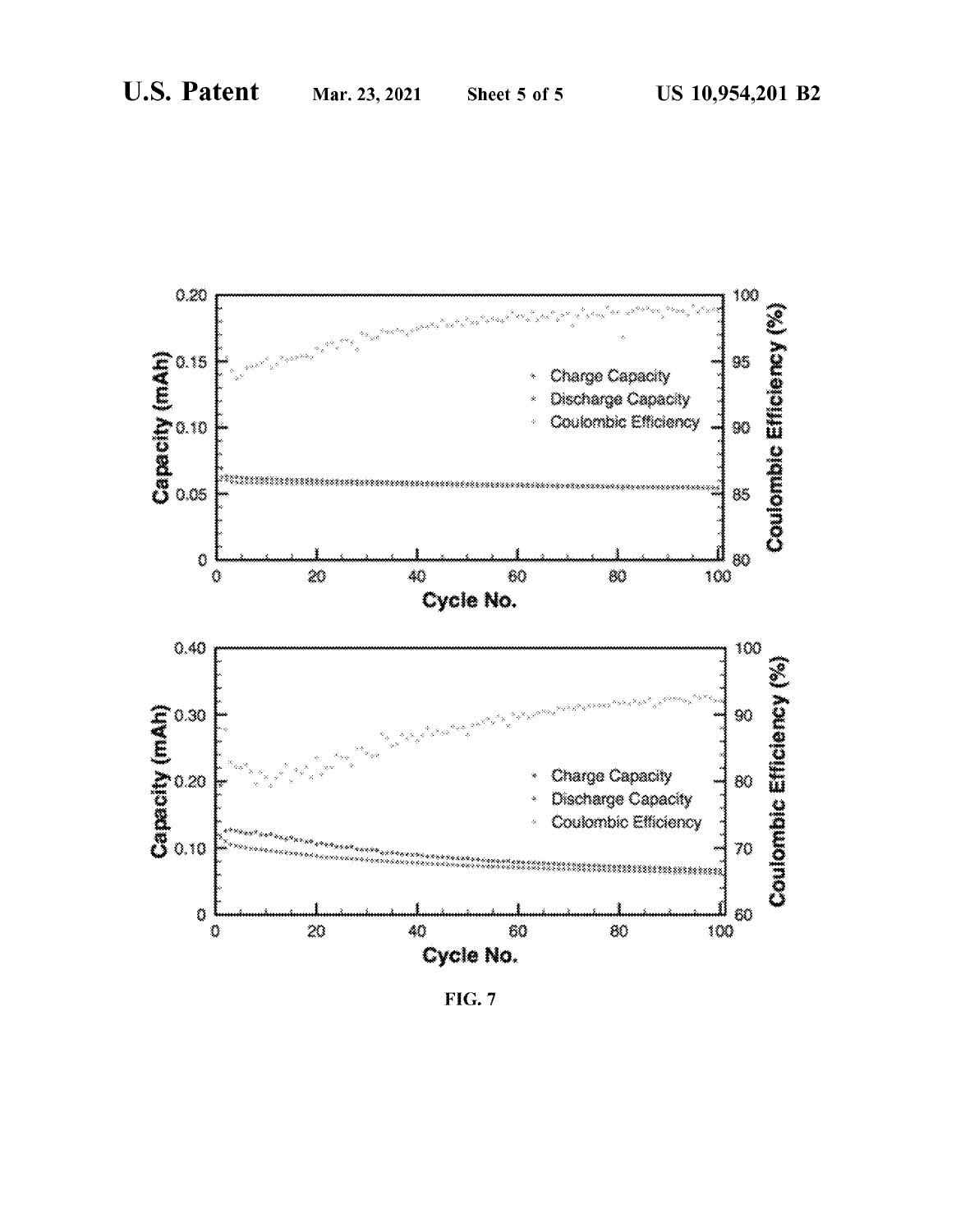

**FIG. 7**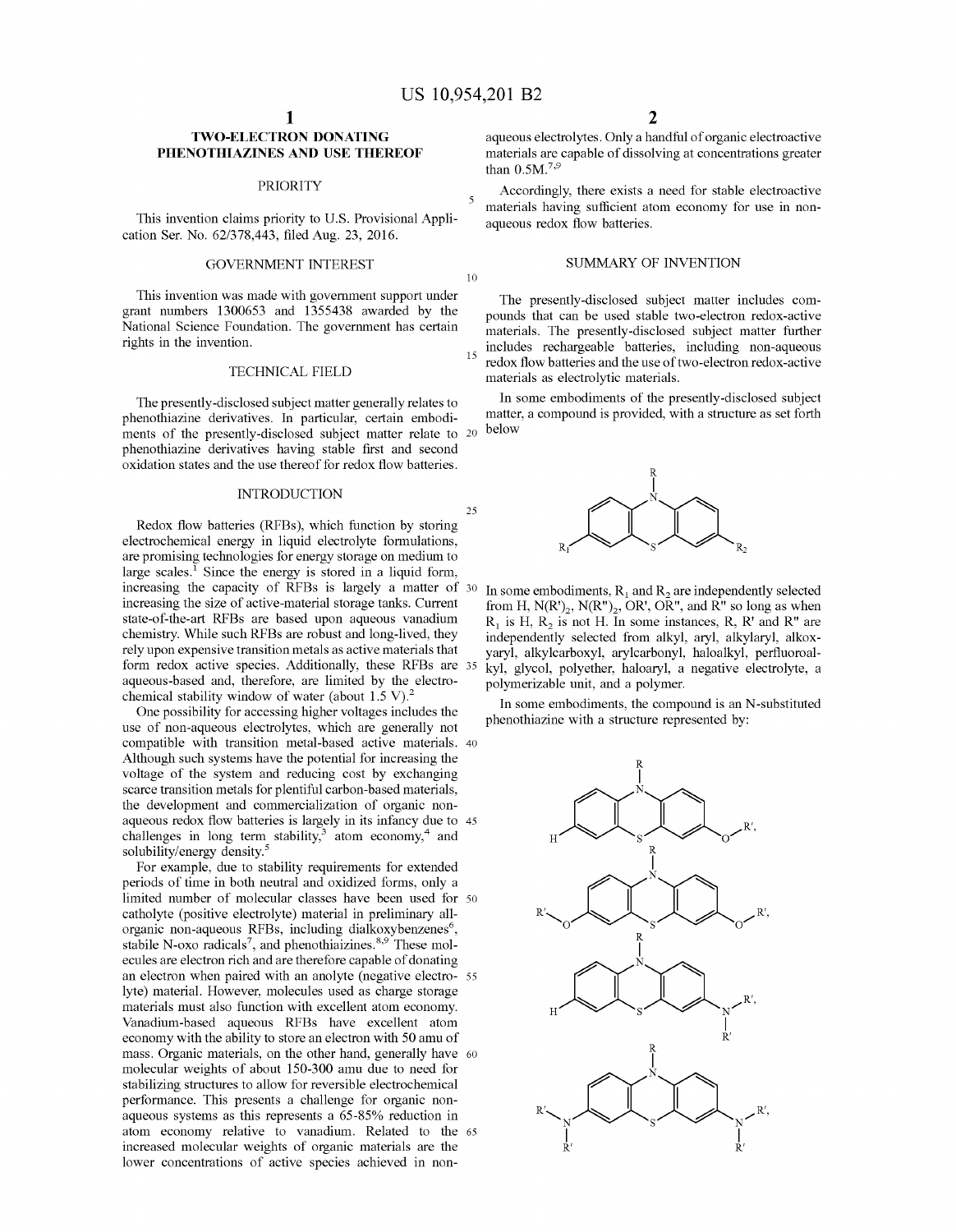10

25

### **TWO-ELECTRON DONATING PHENOTHIAZINES AND USE THEREOF**

cation Ser. No. 62/378,443, filed Aug. 23, 2016.

This invention was made with govermnent support under grant numbers 1300653 and 1355438 awarded by the National Science Foundation. The government has certain rights in the invention.

### TECHNICAL FIELD

The presently-disclosed subject matter generally relates to phenothiazine derivatives. In particular, certain embodiments of the presently-disclosed subject matter relate to 20 phenothiazine derivatives having stable first and second oxidation states and the use thereof for redox flow batteries.

### INTRODUCTION

Redox flow batteries (RFBs), which function by storing electrochemical energy in liquid electrolyte formulations, are promising technologies for energy storage on medium to large scales.<sup>1</sup> Since the energy is stored in a liquid form, increasing the capacity of RFBs is largely a matter of 30 increasing the size of active-material storage tanks. Current state-of-the-art RFBs are based upon aqueous vanadium chemistry. While such RFBs are robust and long-lived, they rely upon expensive transition metals as active materials that form redox active species. Additionally, these RFBs are 35 aqueous-based and, therefore, are limited by the electrochemical stability window of water (about 1.5 V).<sup>2</sup>

One possibility for accessing higher voltages includes the use of non-aqueous electrolytes, which are generally not compatible with transition metal-based active materials. 40 Although such systems have the potential for increasing the voltage of the system and reducing cost by exchanging scarce transition metals for plentiful carbon-based materials, the development and commercialization of organic nonaqueous redox flow batteries is largely in its infancy due to 45 challenges in long term stability, $3$  atom economy, $4$  and solubility/energy density.<sup>5</sup>

For example, due to stability requirements for extended periods of time in both neutral and oxidized forms, only a limited number of molecular classes have been used for 50 catholyte (positive electrolyte) material in preliminary allorganic non-aqueous RFBs, including dialkoxybenzenes<sup>6</sup>, stabile N-oxo radicals<sup>7</sup>, and phenothiaizines.<sup>8,9</sup> These molecules are electron rich and are therefore capable of donating an electron when paired with an anolyte (negative electro- 55 lyte) material. However, molecules used as charge storage materials must also function with excellent atom economy. Vanadium-based aqueous RFBs have excellent atom economy with the ability to store an electron with 50 amu of mass. Organic materials, on the other hand, generally have 60 molecular weights of about 150-300 amu due to need for stabilizing structures to allow for reversible electrochemical performance. This presents a challenge for organic nonaqueous systems as this represents a 65-85% reduction in atom economy relative to vanadium. Related to the 65 increased molecular weights of organic materials are the lower concentrations of active species achieved in non-

aqueous electrolytes. Only a handful of organic electroactive materials are capable of dissolving at concentrations greater than  $0.5M^{7,9}$ 

PRIORITY<br>
This invention claims priority to U.S. Provisional Appli-<br>
<sup>5</sup> materials having sufficient atom economy for use in non-<br>
<sub>aqueous</sub> redox flow batteries.

### GOVERNMENT INTEREST SUMMARY OF INVENTION

The presently-disclosed subject matter includes compounds that can be used stable two-electron redox-active materials. The presently-disclosed subject matter further 15 includes rechargeable batteries, including non-aqueous redox flow batteries and the use of two-electron redox-active materials as electrolytic materials.

In some embodiments of the presently-disclosed subject matter, a compound is provided, with a structure as set forth below



In some embodiments,  $R_1$  and  $R_2$  are independently selected from H,  $N(R')_2$ ,  $N(R'')_2$ , OR', OR", and R" so long as when  $R_1$  is H,  $R_2$  is not H. In some instances, R, R' and R" are independently selected from alkyl, aryl, alkylaryl, alkoxyaryl, alkylcarboxyl, arylcarbonyl, haloalkyl, perfluoroalkyl, glycol, polyether, haloaryl, a negative electrolyte, a polymerizable unit, and a polymer.

In some embodiments, the compound is an N-substituted phenothiazine with a structure represented by:

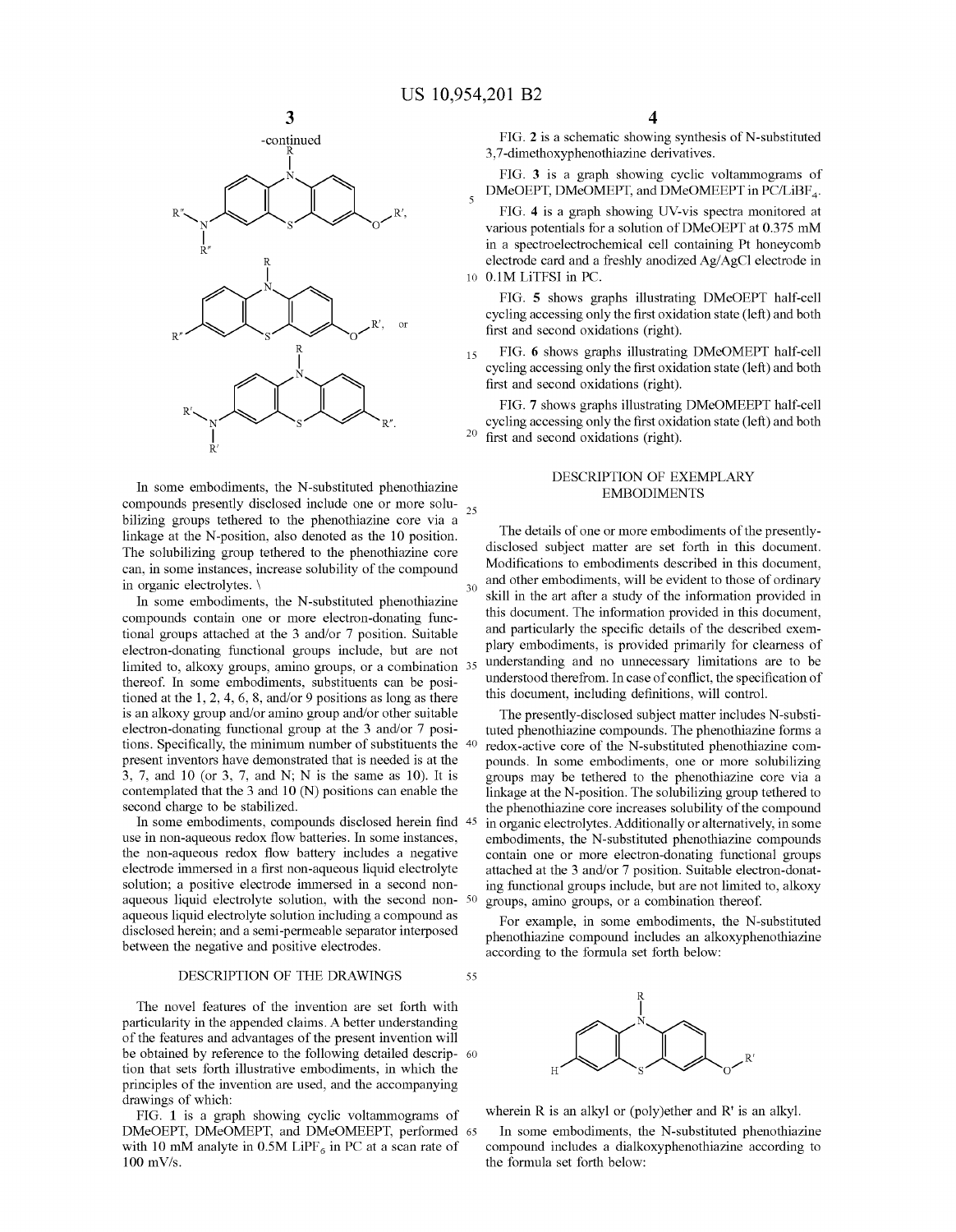5

55



In some embodiments, the N-substituted phenothiazine compounds presently disclosed include one or more solu- 25 bilizing groups tethered to the phenothiazine core via a linkage at the N-position, also denoted as the 10 position. The solubilizing group tethered to the phenothiazine core can, in some instances, increase solubility of the compound in organic electrolytes. \

In some embodiments, the N-substituted phenothiazine compounds contain one or more electron-donating functional groups attached at the 3 and/or 7 position. Suitable electron-donating functional groups include, but are not limited to, alkoxy groups, amino groups, or a combination 35 thereof. In some embodiments, substituents can be positioned at the 1, 2, 4, 6, 8, and/or 9 positions as long as there is an alkoxy group and/or amino group and/or other suitable electron-donating functional group at the 3 and/or 7 positions. Specifically, the minimum number of substituents the 40 present inventors have demonstrated that is needed is at the 3, 7, and 10 (or 3, 7, and N; N is the same as 10). It is contemplated that the 3 and 10 (N) positions can enable the second charge to be stabilized.

In some embodiments, compounds disclosed herein find 45 use in non-aqueous redox flow batteries. In some instances, the non-aqueous redox flow battery includes a negative electrode immersed in a first non-aqueous liquid electrolyte solution; a positive electrode immersed in a second nonaqueous liquid electrolyte solution, with the second non- 50 aqueous liquid electrolyte solution including a compound as disclosed herein; and a semi-permeable separator interposed between the negative and positive electrodes.

### DESCRIPTION OF THE DRAWINGS

The novel features of the invention are set forth with particularity in the appended claims. A better understanding of the features and advantages of the present invention will be obtained by reference to the following detailed descrip- 60 tion that sets forth illustrative embodiments, in which the principles of the invention are used, and the accompanying drawings of which:

FIG. **1** is a graph showing cyclic voltammograms of DMeOEPT, DMeOMEPT, and DMeOMEEPT, performed 65 with 10 mM analyte in 0.5M LiPF<sub>6</sub> in PC at a scan rate of 100 mV/s.

FIG. 2 is a schematic showing synthesis of N-substituted 3, 7-dimethoxyphenothiazine derivatives.

FIG. **3** is a graph showing cyclic voltammograms of DMeOEPT, DMeOMEPT, and DMeOMEEPT in PC/LiBF<sub>4</sub>.

FIG. **4** is a graph showing UV-vis spectra monitored at various potentials for a solution of DMeOEPT at 0.375 mM in a spectroelectrochemical cell containing Pt honeycomb electrode card and a freshly anodized Ag/AgCl electrode in 10 0.lM LiTFSI in PC.

FIG. **5** shows graphs illustrating DMeOEPT half-cell cycling accessing only the first oxidation state (left) and both first and second oxidations (right).

15 FIG. **6** shows graphs illustrating DMeOMEPT half-cell cycling accessing only the first oxidation state (left) and both first and second oxidations (right).

FIG. **7** shows graphs illustrating DMeOMEEPT half-cell cycling accessing only the first oxidation state (left) and both  $^{20}$  first and second oxidations (right).

### DESCRIPTION OF EXEMPLARY EMBODIMENTS

The details of one or more embodiments of the presentlydisclosed subject matter are set forth in this document. Modifications to embodiments described in this document, and other embodiments, will be evident to those of ordinary skill in the art after a study of the information provided in this document. The information provided in this document, and particularly the specific details of the described exemplary embodiments, is provided primarily for clearness of understanding and no unnecessary limitations are to be understood therefrom. In case of conflict, the specification of this document, including definitions, will control.

The presently-disclosed subject matter includes N-substituted phenothiazine compounds. The phenothiazine forms a redox-active core of the N-substituted phenothiazine compounds. In some embodiments, one or more solubilizing groups may be tethered to the phenothiazine core via a linkage at the N-position. The solubilizing group tethered to the phenothiazine core increases solubility of the compound in organic electrolytes. Additionally or alternatively, in some embodiments, the N-substituted phenothiazine compounds contain one or more electron-donating functional groups attached at the 3 and/or 7 position. Suitable electron-donating functional groups include, but are not limited to, alkoxy groups, amino groups, or a combination thereof.

For example, in some embodiments, the N-substituted phenothiazine compound includes an alkoxyphenothiazine according to the formula set forth below:



wherein R is an alkyl or (poly)ether and R' is an alkyl.

In some embodiments, the N-substituted phenothiazine compound includes a dialkoxyphenothiazine according to the formula set forth below: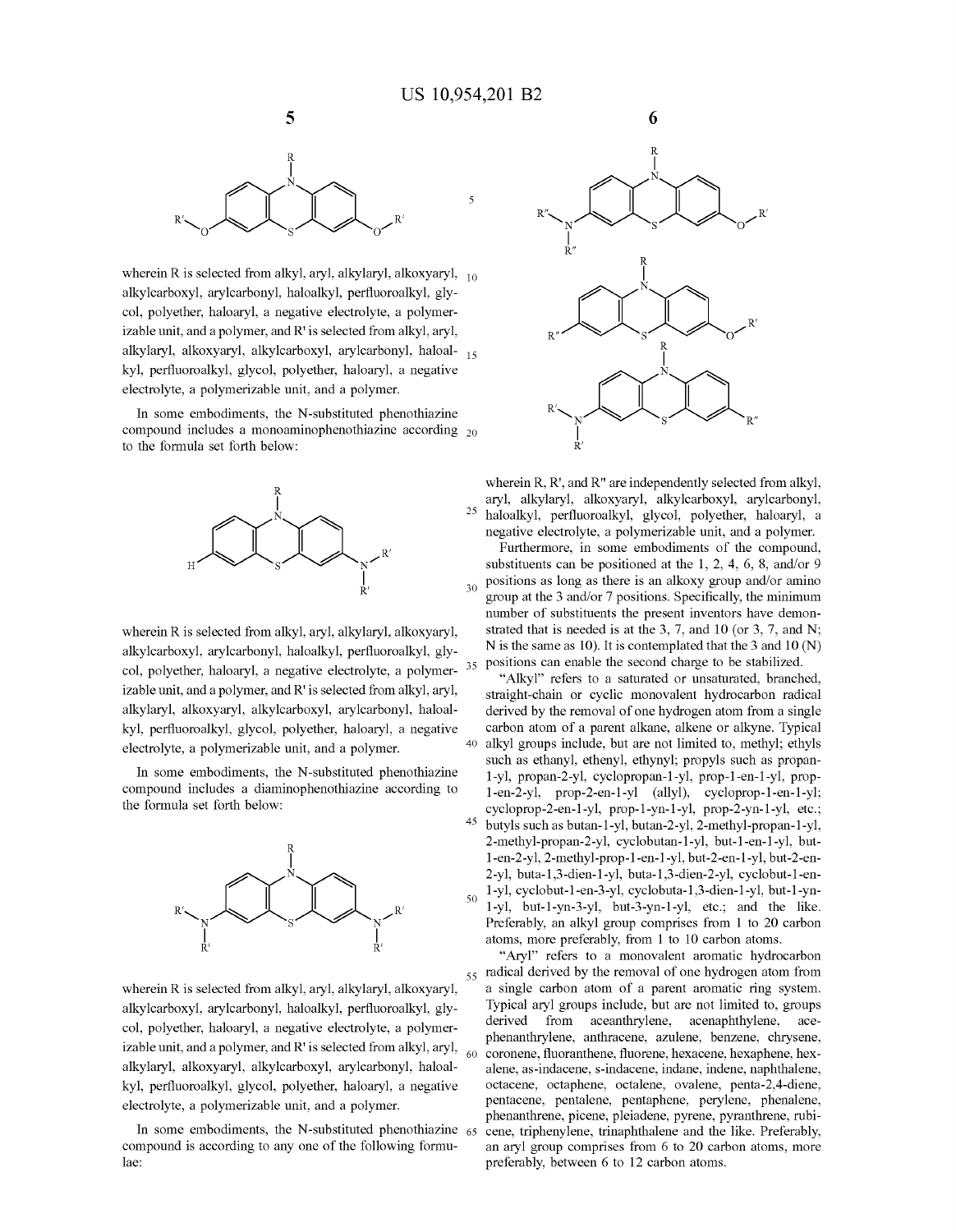

wherein R is selected from alkyl, aryl, alkylaryl, alkoxyaryl,  $_{10}$ alkylcarboxyl, arylcarbonyl, haloalkyl, perfluoroalkyl, glycol, polyether, haloaryl, a negative electrolyte, a polymerizable unit, and a polymer, and R' is selected from alkyl, aryl, alkylaryl, alkoxyaryl, alkylcarboxyl, arylcarbonyl, haloal- <sup>15</sup> kyl, perfluoroalkyl, glycol, polyether, haloaryl, a negative electrolyte, a polymerizable unit, and a polymer.

In some embodiments, the N-substituted phenothiazine compound includes a monoaminophenothiazine according 20 to the formula set forth below:



wherein R is selected from alkyl, aryl, alkylaryl, alkoxyaryl, alkylcarboxyl, arylcarbonyl, haloalkyl, perfluoroalkyl, glycol, polyether, haloaryl, a negative electrolyte, a polymer- $35$ izable unit, and a polymer, and R' is selected from alkyl, aryl, alkylaryl, alkoxyaryl, alkylcarboxyl, arylcarbonyl, haloalkyl, perfluoroalkyl, glycol, polyether, haloaryl, a negative electrolyte, a polymerizable unit, and a polymer.

In some embodiments, the N-substituted phenothiazine compound includes a diaminophenothiazine according to the formula set forth below:



wherein R is selected from alkyl, aryl, alkylaryl, alkoxyaryl, alkylcarboxyl, arylcarbonyl, haloalkyl, perfluoroalkyl, glycol, polyether, haloaryl, a negative electrolyte, a polymerizable unit, and a polymer, and R' is selected from alkyl, aryl,  $\frac{60}{60}$ alkylaryl, alkoxyaryl, alkylcarboxyl, arylcarbonyl, haloalkyl, perfluoroalkyl, glycol, polyether, haloaryl, a negative electrolyte, a polymerizable unit, and a polymer.

In some embodiments, the N-substituted phenothiazine  $65$ compound is according to any one of the following formulae:



wherein R, R', and R" are independently selected from alkyl, aryl, alkylaryl, alkoxyaryl, alkylcarboxyl, arylcarbonyl, 25 haloalkyl, perfluoroalkyl, glycol, polyether, haloaryl, a negative electrolyte, a polymerizable unit, and a polymer.

Furthermore, in some embodiments of the compound, substituents can be positioned at the 1, 2, 4, 6, 8, and/or 9 positions as long as there is an alkoxy group and/or amino group at the 3 and/or 7 positions. Specifically, the minimum number of substituents the present inventors have demonstrated that is needed is at the 3, 7, and 10 (or 3, 7, and N; N is the same as 10). It is contemplated that the 3 and 10 (N) positions can enable the second charge to be stabilized.

"Alkyl" refers to a saturated or unsaturated, branched, straight-chain or cyclic monovalent hydrocarbon radical derived by the removal of one hydrogen atom from a single carbon atom of a parent alkane, alkene or alkyne. Typical 40 alkyl groups include, but are not limited to, methyl; ethyls such as ethanyl, ethenyl, ethynyl; propyls such as propan-1-yl, propan-2-yl, cyclopropan-1-yl, prop-1-en-1-yl, propl-en-2-yl, prop-2-en-1-yl (ally!), cycloprop-1-en-1-yl; cycloprop-2-en-1-yl, prop-1-yn-1-yl, prop-2-yn-1-yl, etc.; 45 butyls such as butan-1-yl, butan-2-yl, 2-methyl-propan-1-yl, 2-methyl-propan-2-yl, cyclobutan-1-yl, but-l-en-1-yl, butl-en-2-yl, 2-methyl-prop-1-en-1-yl, but-2-en-1-yl, but-2-en-2-yl, buta-1,3-dien-1-yl, buta-1,3-dien-2-yl, cyclobut-l-en-50 1-yl, cyclobut-l-en-3-yl, cyclobuta-1,3-dien-1-yl, but-1-ynl-yl, but-l-yn-3-yl, but-3-yn-1-yl, etc.; and the like. Preferably, an alkyl group comprises from 1 to 20 carbon atoms, more preferably, from 1 to 10 carbon atoms.

"Aryl" refers to a monovalent aromatic hydrocarbon  $55$  radical derived by the removal of one hydrogen atom from a single carbon atom of a parent aromatic ring system. Typical aryl groups include, but are not limited to, groups derived from aceanthrylene, acenaphthylene, acephenanthrylene, anthracene, azulene, benzene, chrysene, coronene, fluoranthene, fluorene, hexacene, hexaphene, hexalene, as-indacene, s-indacene, indane, indene, naphthalene, octacene, octaphene, octalene, ovalene, penta-2,4-diene, pentacene, pentalene, pentaphene, perylene, phenalene, phenanthrene, picene, pleiadene, pyrene, pyranthrene, rubicene, triphenylene, trinaphthalene and the like. Preferably, an aryl group comprises from 6 to 20 carbon atoms, more preferably, between 6 to 12 carbon atoms.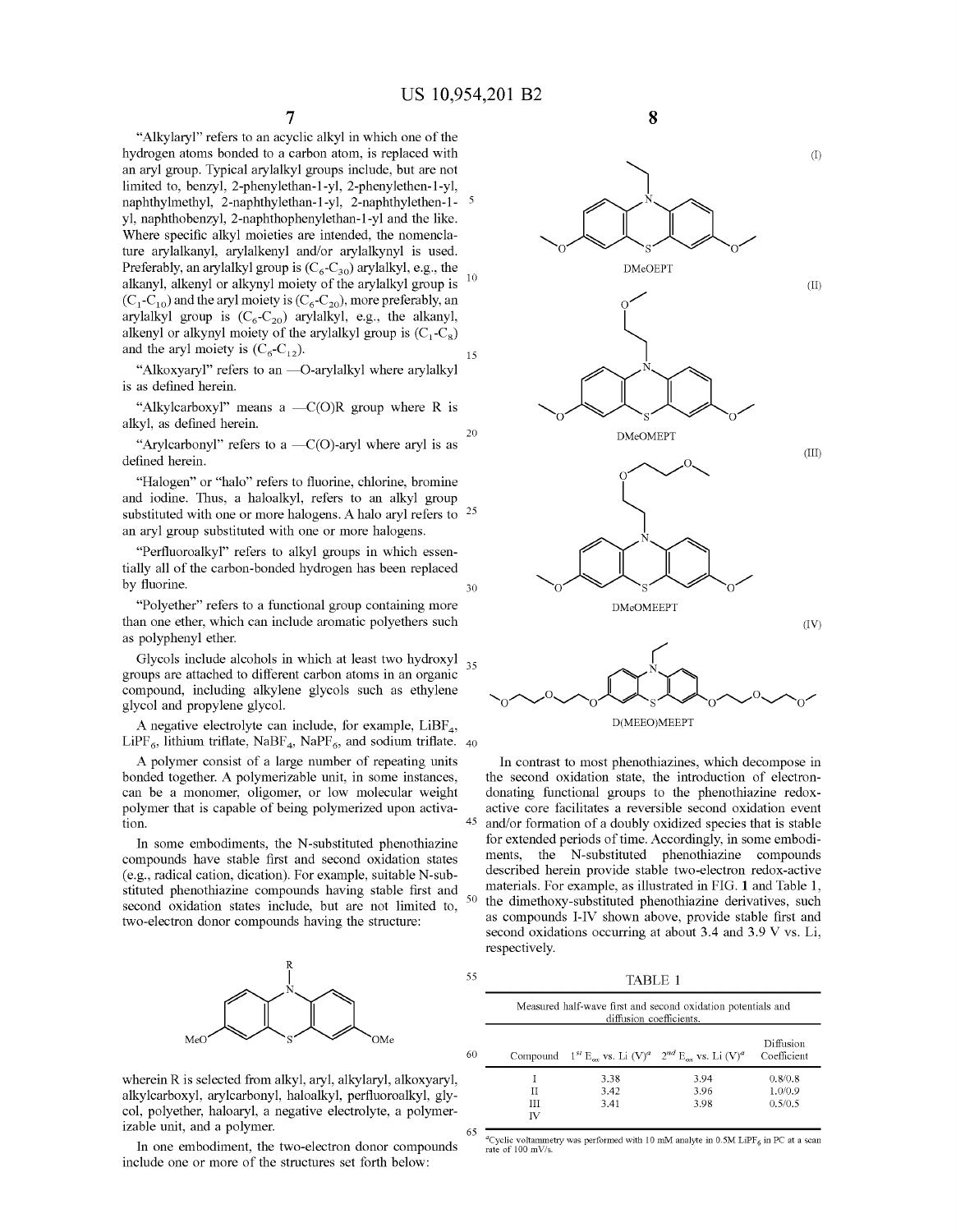"Alkylaryl" refers to an acyclic alkyl in which one of the hydrogen atoms bonded to a carbon atom, is replaced with an aryl group. Typical arylalkyl groups include, but are not limited to, benzyl, 2-phenylethan-1-yl, 2-phenylethen-1-yl, naphthylmethyl, 2-naphthylethan-1-yl, 2-naphthylethen-1yl, naphthobenzyl, 2-naphthophenylethan-1-yl and the like. Where specific alkyl moieties are intended, the nomenclature arylalkanyl, arylalkenyl and/or arylalkynyl is used. Preferably, an arylalkyl group is  $(C_6-C_{30})$  arylalkyl, e.g., the alkanyl, alkenyl or alkynyl moiety of the arylalkyl group is  $10$  $(C_1 - C_{10})$  and the aryl moiety is  $(C_6 - C_{20})$ , more preferably, an arylalkyl group is  $(C_6-C_{20})$  arylalkyl, e.g., the alkanyl, alkenyl or alkynyl moiety of the arylalkyl group is  $(C_1 - C_8)$ and the aryl moiety is  $(C_6-C_{12})$ . 15

"Alkoxyaryl" refers to an -O-arylalkyl where arylalkyl is as defined herein.

"Alkylcarboxyl" means a  $-C(O)R$  group where R is alkyl, as defined herein. 20

"Arylcarbonyl" refers to a  $-C(O)$ -aryl where aryl is as defined herein.

"Halogen" or "halo" refers to fluorine, chlorine, bromine and iodine. Thus, a haloalkyl, refers to an alkyl group substituted with one or more halogens. A halo aryl refers to <sup>25</sup> an aryl group substituted with one or more halogens.

"Perfluoroalkyl" refers to alkyl groups in which essentially all of the carbon-bonded hydrogen has been replaced by fluorine.  $30$ 

"Polyether" refers to a functional group containing more than one ether, which can include aromatic polyethers such as polyphenyl ether.

Glycols include alcohols in which at least two hydroxyl 35 groups are attached to different carbon atoms in an organic compound, including alkylene glycols such as ethylene glycol and propylene glycol.

A negative electrolyte can include, for example,  $LiBF_4$ , LiPF<sub>6</sub>, lithium triflate, NaBF<sub>4</sub>, NaPF<sub>6</sub>, and sodium triflate. 40

A polymer consist of a large number of repeating units bonded together. A polymerizable unit, in some instances, can be a monomer, oligomer, or low molecular weight polymer that is capable of being polymerized upon activa-

In some embodiments, the N-substituted phenothiazine compounds have stable first and second oxidation states (e.g., radical cation, dication). For example, suitable N-substituted phenothiazine compounds having stable first and second oxidation states include, but are not limited to, two-electron donor compounds having the structure:



wherein R is selected from alkyl, aryl, alkylaryl, alkoxyaryl, alkylcarboxyl, arylcarbonyl, haloalkyl, perfluoroalkyl, glycol, polyether, haloaryl, a negative electrolyte, a polymerizable unit, and a polymer.

In one embodiment, the two-electron donor compounds include one or more of the structures set forth below:





D(MEEO)MEEPT

In contrast to most phenothiazines, which decompose in the second oxidation state, the introduction of electrondonating functional groups to the phenothiazine redoxactive core facilitates a reversible second oxidation event tion.  $\frac{45}{100}$  and/or formation of a doubly oxidized species that is stable for extended periods of time. Accordingly, in some embodiments, the N-substituted phenothiazine compounds described herein provide stable two-electron redox-active materials. For example, as illustrated in FIG. **1** and Table 1, the dimethoxy-substituted phenothiazine derivatives, such as compounds I-IV shown above, provide stable first and second oxidations occurring at about 3.4 and 3.9 V vs. Li, respectively.

TABLE 1

55

65

|    | Measured half-wave first and second oxidation potentials and<br>diffusion coefficients. |      |                                                                                          |                          |  |
|----|-----------------------------------------------------------------------------------------|------|------------------------------------------------------------------------------------------|--------------------------|--|
| 60 |                                                                                         |      | Compound $1^{st}$ E <sub>ox</sub> vs. Li $(V)^a$ $2^{nd}$ E <sub>ox</sub> vs. Li $(V)^a$ | Diffusion<br>Coefficient |  |
|    |                                                                                         | 3.38 | 3.94                                                                                     | 0.8/0.8                  |  |
|    | П                                                                                       | 3.42 | 3.96                                                                                     | 1.0/0.9                  |  |
|    | Ш                                                                                       | 3.41 | 3.98                                                                                     | 0.5/0.5                  |  |
|    | ΓV                                                                                      |      |                                                                                          |                          |  |

<sup>a</sup>Cyclic voltammetry was performed with 10 mM analyte in 0.5M LiPF<sub>6</sub> in PC at a scan rate of 100 mV/s.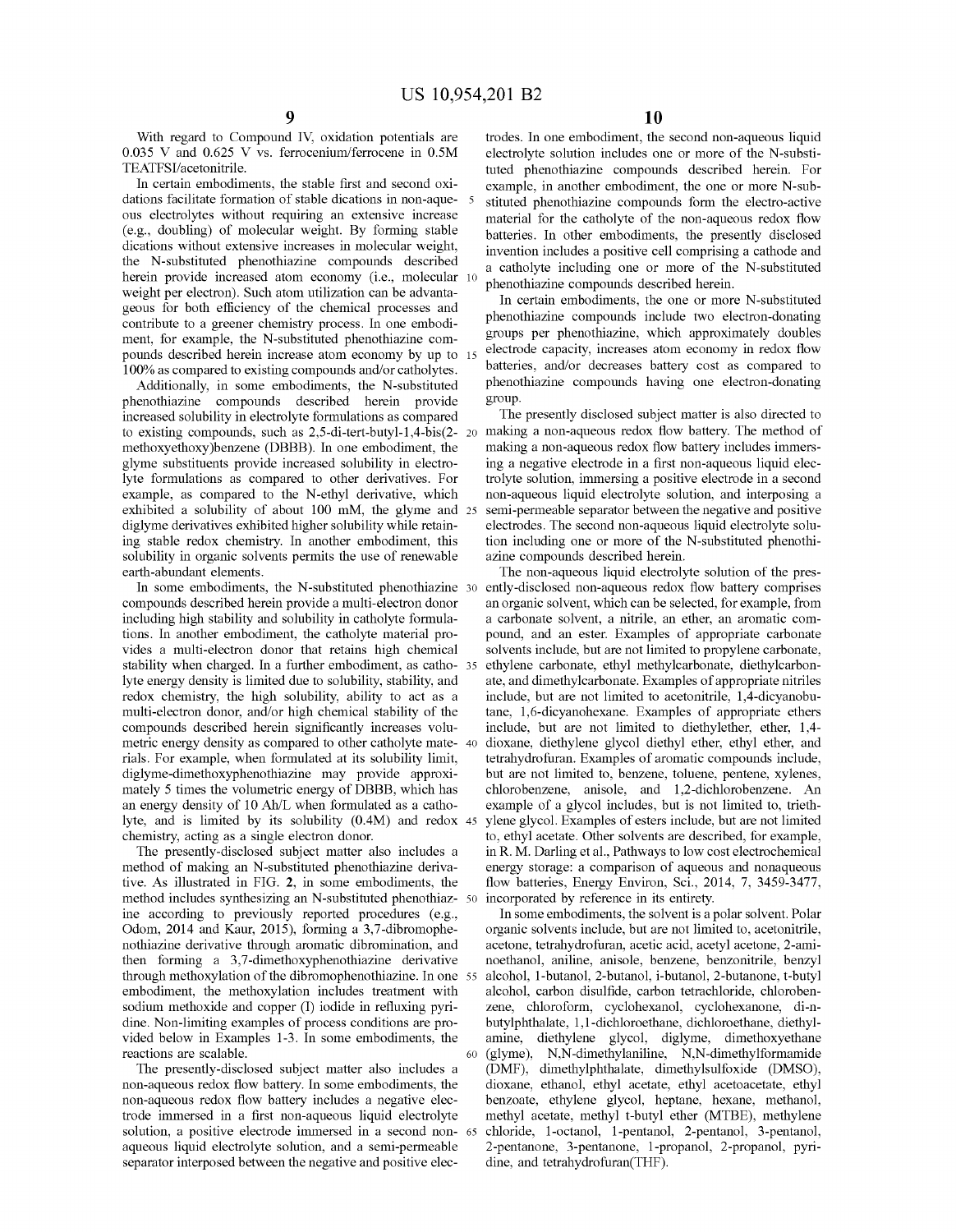With regard to Compound IV, oxidation potentials are 0.035 V and 0.625 V vs. ferrocenium/ferrocene in 0.5M TEATFSI/acetonitrile.

In certain embodiments, the stable first and second oxidations facilitate formation of stable dications in non-aqueous electrolytes without requiring an extensive increase (e.g., doubling) of molecular weight. By forming stable dications without extensive increases in molecular weight, the N-substituted phenothiazine compounds described herein provide increased atom economy (i.e., molecular 10 weight per electron). Such atom utilization can be advantageous for both efficiency of the chemical processes and contribute to a greener chemistry process. In one embodiment, for example, the N-substituted phenothiazine compounds described herein increase atom economy by up to 100% as compared to existing compounds and/or catholytes.

Additionally, in some embodiments, the N-substituted phenothiazine compounds described herein provide increased solubility in electrolyte formulations as compared to existing compounds, such as 2,5-di-tert-butyl-1,4-bis(2 methoxyethoxy)benzene (DBBB). In one embodiment, the glyme substituents provide increased solubility in electrolyte formulations as compared to other derivatives. For example, as compared to the N-ethyl derivative, which exhibited a solubility of about 100 mM, the glyme and 25 diglyme derivatives exhibited higher solubility while retaining stable redox chemistry. In another embodiment, this solubility in organic solvents permits the use of renewable earth-abundant elements.

In some embodiments, the N-substituted phenothiazine 30 compounds described herein provide a multi-electron donor including high stability and solubility in catholyte formulations. In another embodiment, the catholyte material provides a multi-electron donor that retains high chemical stability when charged. In a further embodiment, as catholyte energy density is limited due to solubility, stability, and redox chemistry, the high solubility, ability to act as a multi-electron donor, and/or high chemical stability of the compounds described herein significantly increases volumetric energy density as compared to other catholyte mate-40 rials. For example, when formulated at its solubility limit, diglyme-dimethoxyphenothiazine may provide approximately 5 times the volumetric energy of DBBB, which has an energy density of 10 Ah/L when formulated as a catholyte, and is limited by its solubility (0.4M) and redox chemistry, acting as a single electron donor.

The presently-disclosed subject matter also includes a method of making an N-substituted phenothiazine derivative. As illustrated in FIG. **2,** in some embodiments, the method includes synthesizing an N-substituted phenothiazine according to previously reported procedures (e.g., Odom, 2014 and Kaur, 2015), forming a 3,7-dibromophenothiazine derivative through aromatic dibromination, and then forming a 3,7-dimethoxyphenothiazine derivative through methoxylation of the dibromophenothiazine. In one embodiment, the methoxylation includes treatment with sodium methoxide and copper (I) iodide in refluxing pyridine. Non-limiting examples of process conditions are provided below in Examples 1-3. In some embodiments, the reactions are scalable.

The presently-disclosed subject matter also includes a non-aqueous redox flow battery. In some embodiments, the non-aqueous redox flow battery includes a negative electrode immersed in a first non-aqueous liquid electrolyte solution, a positive electrode immersed in a second non-65 aqueous liquid electrolyte solution, and a semi-permeable separator interposed between the negative and positive elec-

trodes. In one embodiment, the second non-aqueous liquid electrolyte solution includes one or more of the N-substituted phenothiazine compounds described herein. For example, in another embodiment, the one or more N-sub-5 stituted phenothiazine compounds form the electro-active material for the catholyte of the non-aqueous redox flow batteries. In other embodiments, the presently disclosed invention includes a positive cell comprising a cathode and a catholyte including one or more of the N-substituted phenothiazine compounds described herein.

In certain embodiments, the one or more N-substituted phenothiazine compounds include two electron-donating groups per phenothiazine, which approximately doubles electrode capacity, increases atom economy in redox flow batteries, and/or decreases battery cost as compared to phenothiazine compounds having one electron-donating group.

The presently disclosed subject matter is also directed to making a non-aqueous redox flow battery. The method of making a non-aqueous redox flow battery includes immersing a negative electrode in a first non-aqueous liquid electrolyte solution, immersing a positive electrode in a second non-aqueous liquid electrolyte solution, and interposing a semi-permeable separator between the negative and positive electrodes. The second non-aqueous liquid electrolyte solution including one or more of the N-substituted phenothiazine compounds described herein.

The non-aqueous liquid electrolyte solution of the presently-disclosed non-aqueous redox flow battery comprises an organic solvent, which can be selected, for example, from a carbonate solvent, a nitrile, an ether, an aromatic compound, and an ester. Examples of appropriate carbonate solvents include, but are not limited to propylene carbonate, ethylene carbonate, ethyl methylcarbonate, diethylcarbonate, and dimethylcarbonate. Examples of appropriate nitriles include, but are not limited to acetonitrile, 1,4-dicyanobutane, 1,6-dicyanohexane. Examples of appropriate ethers include, but are not limited to diethylether, ether, 1,4- 40 dioxane, diethylene glycol diethyl ether, ethyl ether, and tetrahydrofuran. Examples of aromatic compounds include, but are not limited to, benzene, toluene, pentene, xylenes, chlorobenzene, anisole, and 1,2-dichlorobenzene. An example of a glycol includes, but is not limited to, triethylene glycol. Examples of esters include, but are not limited to, ethyl acetate. Other solvents are described, for example, in R. M. Darling et al., Pathways to low cost electrochemical energy storage: a comparison of aqueous and nonaqueous flow batteries, Energy Environ, Sci., 2014, 7, 3459-3477, incorporated by reference in its entirety.

In some embodiments, the solvent is a polar solvent. Polar organic solvents include, but are not limited to, acetonitrile, acetone, tetrahydrofuran, acetic acid, acetyl acetone, 2-aminoethanol, aniline, anisole, benzene, benzonitrile, benzyl alcohol, 1-butanol, 2-butanol, i-butanol, 2-butanone, t-butyl alcohol, carbon disulfide, carbon tetrachloride, chlorobenzene, chloroform, cyclohexanol, cyclohexanone, di-nbutylphthalate, 1, 1-dichloroethane, dichloroethane, diethylamine, diethylene glycol, diglyme, dimethoxyethane 60 (glyme), N,N-dimethylaniline, N,N-dimethylformamide (DMF), dimethylphthalate, dimethylsulfoxide (DMSO), dioxane, ethanol, ethyl acetate, ethyl acetoacetate, ethyl benzoate, ethylene glycol, heptane, hexane, methanol, methyl acetate, methyl t-butyl ether (MTBE), methylene chloride, 1-octanol, 1-pentanol, 2-pentanol, 3-pentanol, 2-pentanone, 3-pentanone, 1-propanol, 2-propanol, pyridine, and tetrahydrofuran(THF).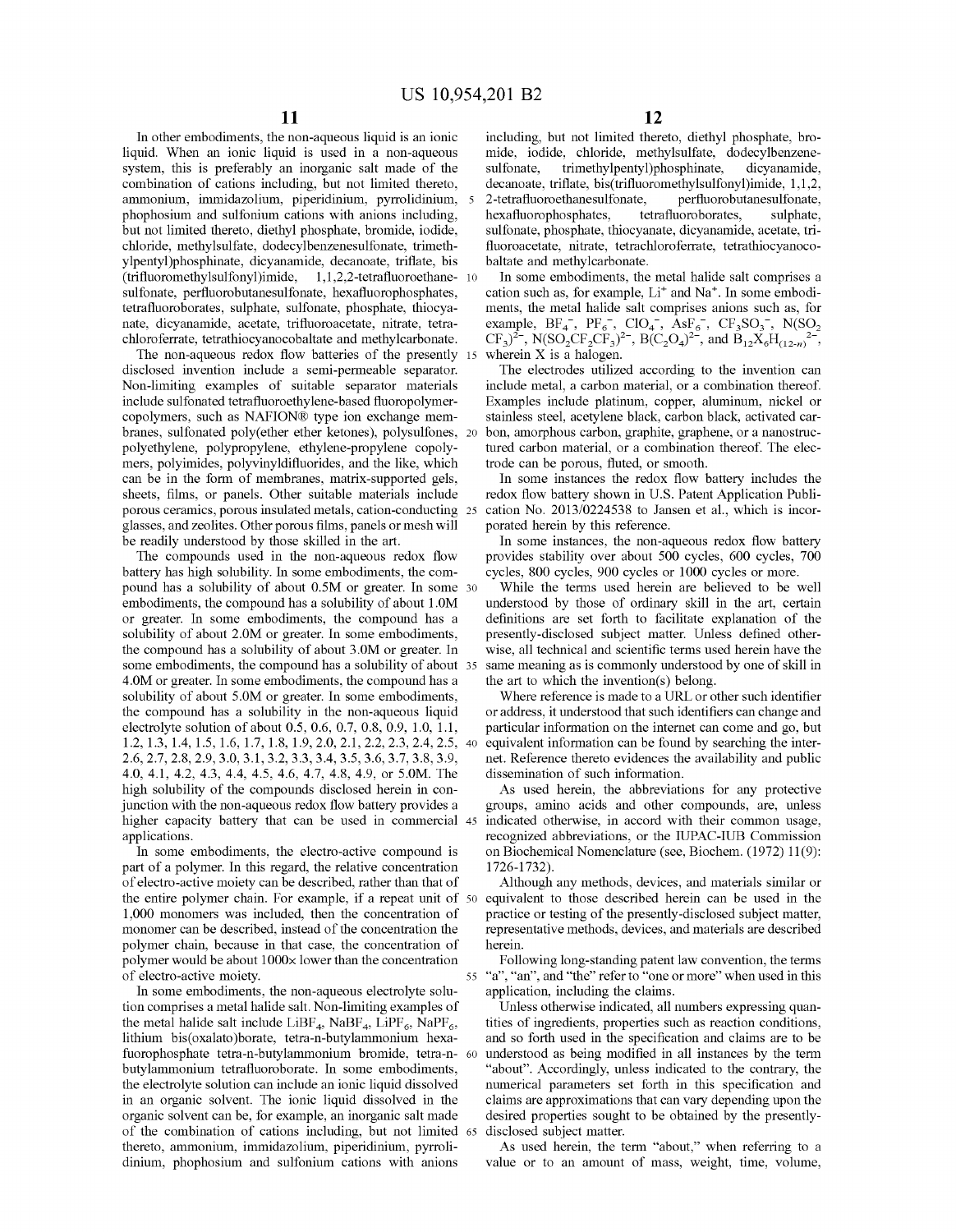In other embodiments, the non-aqueous liquid is an ionic liquid. When an ionic liquid is used in a non-aqueous system, this is preferably an inorganic salt made of the combination of cations including, but not limited thereto, ammonium, immidazolium, piperidinium, pyrrolidinium, phophosium and sulfonium cations with anions including, but not limited thereto, diethyl phosphate, bromide, iodide, chloride, methylsulfate, dodecylbenzenesulfonate, trimethylpentyl)phosphinate, dicyanamide, decanoate, triflate, bis (trifluoromethylsulfonyl)imide, 1, 1,2,2-tetrafluoroethane- 10 sulfonate, perfluorobutanesulfonate, hexafluorophosphates, tetrafluoroborates, sulphate, sulfonate, phosphate, thiocyanate, dicyanamide, acetate, trifluoroacetate, nitrate, tetrachloroferrate, tetrathiocyanocobaltate and methylcarbonate.

The non-aqueous redox flow batteries of the presently disclosed invention include a semi-permeable separator. Non-limiting examples of suitable separator materials include sulfonated tetrafluoroethylene-based fluoropolymercopolymers, such as NAFION® type ion exchange membranes, sulfonated poly(ether ether ketones), polysulfones, 20 polyethylene, polypropylene, ethylene-propylene copolymers, polyimides, polyvinyldifluorides, and the like, which can be in the form of membranes, matrix-supported gels, sheets, films, or panels. Other suitable materials include porous ceramics, porous insulated metals, cation-conducting glasses, and zeolites. Other porous films, panels or mesh will be readily understood by those skilled in the art.

The compounds used in the non-aqueous redox flow battery has high solubility. In some embodiments, the compound has a solubility of about 0.5M or greater. In some 30 embodiments, the compound has a solubility of about I .OM or greater. In some embodiments, the compound has a solubility of about 2.0M or greater. In some embodiments, the compound has a solubility of about 3.0M or greater. In some embodiments, the compound has a solubility of about 35 4.0M or greater. In some embodiments, the compound has a solubility of about 5.0M or greater. In some embodiments, the compound has a solubility in the non-aqueous liquid electrolyte solution of about 0.5, 0.6, 0.7, 0.8, 0.9, 1.0, 1.1, 1.2, 1.3, 1.4, 1.5, 1.6, 1.7, 1.8, 1.9, 2.0, 2.1, 2.2, 2.3, 2.4, 2.5, 40 2.6, 2.7, 2.8, 2.9, 3.0, 3.1, 3.2, 3.3, 3.4, 3.5, 3.6, 3.7, 3.8, 3.9, 4.0, 4.1, 4.2, 4.3, 4.4, 4.5, 4.6, 4.7, 4.8, 4.9, or 5.0M. The high solubility of the compounds disclosed herein in conjunction with the non-aqueous redox flow battery provides a higher capacity battery that can be used in commercial 45 applications.

In some embodiments, the electro-active compound is part of a polymer. In this regard, the relative concentration of electro-active moiety can be described, rather than that of the entire polymer chain. For example, if a repeat unit of 50 1,000 monomers was included, then the concentration of monomer can be described, instead of the concentration the polymer chain, because in that case, the concentration of polymer would be about  $1000 \times$  lower than the concentration

In some embodiments, the non-aqueous electrolyte solution comprises a metal halide salt. Non-limiting examples of the metal halide salt include  $LiBF_4$ , NaBF<sub>4</sub>, LiPF<sub>6</sub>, NaPF<sub>6</sub>, lithium bis(oxalato)borate, tetra-n-butylammonium hexafuorophosphate tetra-n-butylammonium bromide, tetra-n- 60 butylammonium tetrafluoroborate. In some embodiments, the electrolyte solution can include an ionic liquid dissolved in an organic solvent. The ionic liquid dissolved in the organic solvent can be, for example, an inorganic salt made of the combination of cations including, but not limited 65 thereto, ammonium, immidazolium, piperidinium, pyrrolidinium, phophosium and sulfonium cations with anions

including, but not limited thereto, diethyl phosphate, bromide, iodide, chloride, methylsulfate, dodecylbenzenesulfonate, trimethylpentyl)phosphinate, dicyanamide, decanoate, triflate, bis(trifluoromethylsulfonyl)imide, 1,1,2, 5 2-tetrafluoroethanesulfonate, perfluorobutanesulfonate, hexafluorophosphates, tetrafluoroborates, sulphate, sulfonate, phosphate, thiocyanate, dicyanamide, acetate, trifluoroacetate, nitrate, tetrachloroferrate, tetrathiocyanocobaltate and methylcarbonate.

In some embodiments, the metal halide salt comprises a cation such as, for example, Li<sup>+</sup> and Na<sup>+</sup>. In some embodiments, the metal halide salt comprises anions such as, for example,  $BF_4^-$ ,  $PF_6^-$ ,  $ClO_4^-$ ,  $AsF_6^-$ ,  $CF_3SO_3^-$ ,  $N(SO_2)$  $CF_3$ <sup>2-</sup>, N(SO<sub>2</sub>CF<sub>2</sub>CF<sub>3</sub>)<sup>2-</sup>, B(C<sub>2</sub>O<sub>4</sub>)<sup>2-</sup>, and  $\overline{B}_{12}\overline{X}_6H_{(12-n)}$ <sup>2-</sup>, 15 wherein X is a halogen.

The electrodes utilized according to the invention can include metal, a carbon material, or a combination thereof. Examples include platinum, copper, aluminum, nickel or stainless steel, acetylene black, carbon black, activated carbon, amorphous carbon, graphite, graphene, or a nanostructured carbon material, or a combination thereof. The electrode can be porous, fluted, or smooth.

In some instances the redox flow battery includes the redox flow battery shown in U.S. Patent Application Publi-25 cation No. 2013/0224538 to Jansen et al., which is incorporated herein by this reference.

In some instances, the non-aqueous redox flow battery provides stability over about 500 cycles, 600 cycles, 700 cycles, 800 cycles, 900 cycles or 1000 cycles or more.

While the terms used herein are believed to be well understood by those of ordinary skill in the art, certain definitions are set forth to facilitate explanation of the presently-disclosed subject matter. Unless defined otherwise, all technical and scientific terms used herein have the same meaning as is commonly understood by one of skill in the art to which the invention(s) belong.

Where reference is made to a URL or other such identifier or address, it understood that such identifiers can change and particular information on the internet can come and go, but equivalent information can be found by searching the internet. Reference thereto evidences the availability and public dissemination of such information.

As used herein, the abbreviations for any protective groups, amino acids and other compounds, are, unless indicated otherwise, in accord with their common usage, recognized abbreviations, or the IUPAC-IUB Commission on Biochemical Nomenclature (see, Biochem. (1972) 11(9): 1726-1732).

Although any methods, devices, and materials similar or equivalent to those described herein can be used in the practice or testing of the presently-disclosed subject matter, representative methods, devices, and materials are described herein.

Following long-standing patent law convention, the terms of electro-active moiety.<br>
In some embodiments, the non-aqueous electrolyte solu-<br>
application, including the claims.

> Unless otherwise indicated, all numbers expressing quantities of ingredients, properties such as reaction conditions, and so forth used in the specification and claims are to be understood as being modified in all instances by the term "about". Accordingly, unless indicated to the contrary, the numerical parameters set forth in this specification and claims are approximations that can vary depending upon the desired properties sought to be obtained by the presentlydisclosed subject matter.

> As used herein, the term "about," when referring to a value or to an amount of mass, weight, time, volume,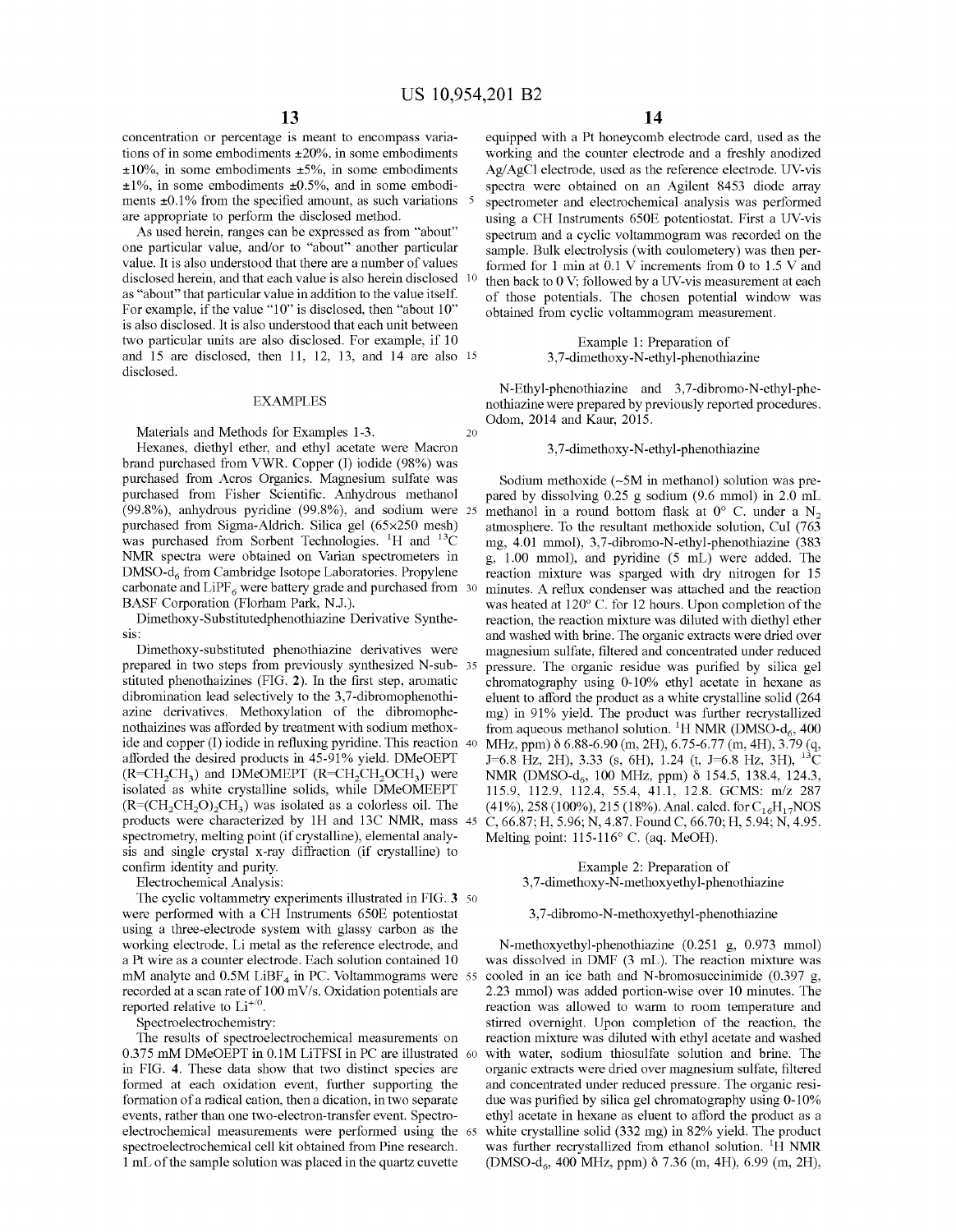concentration or percentage is meant to encompass variations of in some embodiments  $\pm 20\%$ , in some embodiments  $\pm 10\%$ , in some embodiments  $\pm 5\%$ , in some embodiments  $\pm 1\%$ , in some embodiments  $\pm 0.5\%$ , and in some embodiments  $\pm 0.1\%$  from the specified amount, as such variations  $\frac{5}{100}$ are appropriate to perform the disclosed method.

As used herein, ranges can be expressed as from "about" one particular value, and/or to "about" another particular value. It is also understood that there are a number of values disclosed herein, and that each value is also herein disclosed 10 as "about" that particular value in addition to the value itself. For example, if the value "10" is disclosed, then "about 10" is also disclosed. It is also understood that each unit between two particular units are also disclosed. For example, if 10 and 15 are disclosed, then 11, 12, 13, and 14 are also 15 disclosed.

### EXAMPLES

Materials and Methods for Examples 1-3. 20

Hexanes, diethyl ether, and ethyl acetate were Macron brand purchased from VWR. Copper (I) iodide (98%) was purchased from Acros Organics. Magnesium sulfate was purchased from Fisher Scientific. Anhydrous methanol (99.8%), anhydrous pyridine (99.8%), and sodium were 25 purchased from Sigma-Aldrich. Silica gel (65x250 mesh) was purchased from Sorbent Technologies.  ${}^{1}H$  and  ${}^{13}C$ NMR spectra were obtained on Varian spectrometers in DMSO-d<sub>6</sub> from Cambridge Isotope Laboratories. Propylene carbonate and  $LiPF_6$  were battery grade and purchased from 30 BASF Corporation (Florham Park, N.J.).

Dimethoxy-Substitutedphenothiazine Derivative Synthesis:<br>Dimethoxy-substituted phenothiazine derivatives were

prepared in two steps from previously synthesized N-substituted phenothaizines (FIG. **2).** In the first step, aromatic dibromination lead selectively to the 3,7-dibromophenothiazine derivatives. Methoxylation of the dibromophenothaizines was afforded by treatment with sodium methoxide and copper (I) iodide in refluxing pyridine. This reaction 40 afforded the desired products in 45-91% yield. DMeOEPT  $(R=CH<sub>2</sub>CH<sub>3</sub>)$  and DMeOMEPT  $(R=CH<sub>2</sub>CH<sub>2</sub>OCH<sub>3</sub>)$  were isolated as white crystalline solids, while DMeOMEEPT  $(R=(CH_2CH_2O)_2CH_3)$  was isolated as a colorless oil. The products were characterized by lH and 13C NMR, mass spectrometry, melting point (if crystalline), elemental analysis and single crystal x-ray diffraction (if crystalline) to confirm identity and purity.

Electrochemical Analysis:

The cyclic voltammetry experiments illustrated in FIG. **3** 50 were performed with a CH Instruments 650E potentiostat using a three-electrode system with glassy carbon as the working electrode, Li metal as the reference electrode, and a Pt wire as a counter electrode. Each solution contained 10 mM analyte and  $0.5M$  LiBF<sub>4</sub> in PC. Voltammograms were  $55$ recorded at a scan rate of 100 mV/s. Oxidation potentials are reported relative to  $Li^{+/0}$ .

Spectroelectrochemistry:

The results of spectroelectrochemical measurements on 0.375 mM DMeOEPT in 0.lM LiTFSI in PC are illustrated 60 in FIG. **4.** These data show that two distinct species are formed at each oxidation event, further supporting the formation of a radical cation, then a dication, in two separate events, rather than one two-electron-transfer event. Spectroelectrochemical measurements were performed using the spectroelectrochemical cell kit obtained from Pine research. 1 mL of the sample solution was placed in the quartz cuvette

equipped with a Pt honeycomb electrode card, used as the working and the counter electrode and a freshly anodized Ag/AgCl electrode, used as the reference electrode. UV-vis spectra were obtained on an Agilent 8453 diode array spectrometer and electrochemical analysis was performed using a CH Instruments 650E potentiostat. First a UV-vis spectrum and a cyclic voltammogram was recorded on the sample. Bulk electrolysis (with coulometery) was then performed for 1 min at 0.1 V increments from 0 to 1.5 V and then back to  $0$  V; followed by a UV-vis measurement at each of those potentials. The chosen potential window was obtained from cyclic voltammogram measurement.

> Example 1: Preparation of 3, 7 -dimethoxy-N-ethyl-phenothiazine

N-Ethyl-phenothiazine and 3,7-dibromo-N-ethyl-phenothiazine were prepared by previously reported procedures. Odom, 2014 and Kaur, 2015.

### 3, 7 -dimethoxy-N-ethyl-phenothiazine

Sodium methoxide  $(-5M$  in methanol) solution was prepared by dissolving 0.25 g sodium (9.6 mmol) in 2.0 mL methanol in a round bottom flask at  $0^{\circ}$  C. under a N<sub>2</sub> atmosphere. To the resultant methoxide solution, Cul (763 mg, 4.01 mmol), 3,7-dibromo-N-ethyl-phenothiazine (383 g, 1.00 mmol), and pyridine (5 mL) were added. The reaction mixture was sparged with dry nitrogen for 15 minutes. A reflux condenser was attached and the reaction was heated at 120° C. for 12 hours. Upon completion of the reaction, the reaction mixture was diluted with diethyl ether and washed with brine. The organic extracts were dried over magnesium sulfate, filtered and concentrated under reduced pressure. The organic residue was purified by silica gel chromatography using 0-10% ethyl acetate in hexane as eluent to afford the product as a white crystalline solid (264 mg) in 91% yield. The product was further recrystallized from aqueous methanol solution. <sup>1</sup>H NMR (DMSO- $d_6$ , 400 MHz, ppm) δ 6.88-6.90 (m, 2H), 6.75-6.77 (m, 4H), 3.79 (q, J=6.8 Hz, 2H), 3.33 (s, 6H), 1.24 (t, J=6.8 Hz, 3H),  $^{13}$ C NMR (DMSO-d<sub>6</sub>, 100 MHz, ppm)  $\delta$  154.5, 138.4, 124.3, 115.9, 112.9, 112.4, 55.4, 41.1, 12.8. GCMS: m/z 287 (41%), 258 (100%), 215 (18%). Anal. calcd. for  $C_{16}H_{17}NOS$ C, 66.87; H, 5.96; N, 4.87. Found C, 66.70; H, 5.94; N, 4.95. Melting point: 115-116° C. (aq. MeOH).

### Example 2: Preparation of 3, 7 -dimethoxy-N-methoxyethy 1-phenothiazine

### 3, 7-dibromo-N-methoxyethyl-phenothiazine

N-methoxyethyl-phenothiazine (0.251 g, 0.973 mmol) was dissolved in DMF (3 mL). The reaction mixture was cooled in an ice bath and N-bromosuccinimide (0.397 g, 2.23 mmol) was added portion-wise over 10 minutes. The reaction was allowed to warm to room temperature and stirred overnight. Upon completion of the reaction, the reaction mixture was diluted with ethyl acetate and washed with water, sodium thiosulfate solution and brine. The organic extracts were dried over magnesium sulfate, filtered and concentrated under reduced pressure. The organic residue was purified by silica gel chromatography using 0-10% ethyl acetate in hexane as eluent to afford the product as a white crystalline solid (332 mg) in 82% yield. The product was further recrystallized from ethanol solution. <sup>1</sup>H NMR (DMSO-d<sub>6</sub>, 400 MHz, ppm)  $\delta$  7.36 (m, 4H), 6.99 (m, 2H),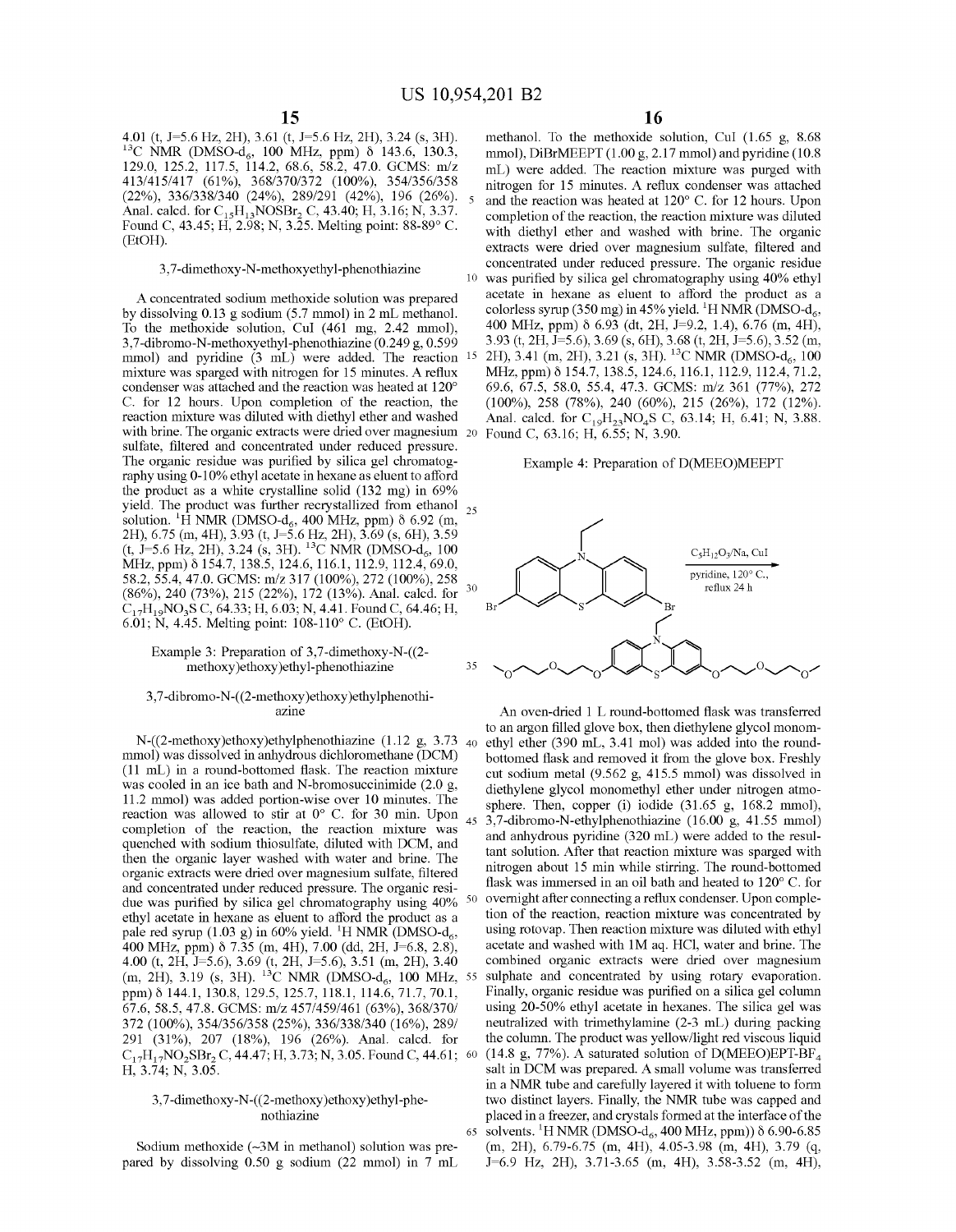4.01 (t, J=5.6 Hz, 2H), 3.61 (t, J=5.6 Hz, 2H), 3.24 (s, 3H). <sup>13</sup>C NMR (DMSO-d<sub>6</sub>, 100 MHz, ppm) δ 143.6, 130.3, 129.0, 125.2, 117.5, 114.2, 68.6, 58.2, 47.0. GCMS: m/z 413/415/417 (61%), 368/370/372 (100%), 354/356/358 (22%), 336/338/340 (24%), 289/291 (42%), 196 (26%). Anal. calcd. for  $C_{15}H_{13}NOSBr_2 C$ , 43.40; H, 3.16; N, 3.37. Found C, 43.45; H, 2.98; N, 3.25. Melting point: 88-89° C. (EtOH).

A concentrated sodium methoxide solution was prepared by dissolving 0.13 g sodium (5.7 mmol) in 2 mL methanol. To the methoxide solution, CuI (461 mg, 2.42 mmol), 3,7-dibromo-N-methoxyethyl-phenothiazine (0.249 g, 0.599 mmol) and pyridine (3 mL) were added. The reaction mixture was sparged with nitrogen for 15 minutes. A reflux condenser was attached and the reaction was heated at 120° C. for 12 hours. Upon completion of the reaction, the reaction mixture was diluted with diethyl ether and washed with brine. The organic extracts were dried over magnesium 20 Found C, 63.16; H, 6.55; N, 3.90. sulfate, filtered and concentrated under reduced pressure. The organic residue was purified by silica gel chromatography using 0-10% ethyl acetate in hexane as eluent to afford the product as a white crystalline solid (132 mg) in 69% yield. The product was further recrystallized from ethanol  $_{25}$ solution. <sup>1</sup>H NMR (DMSO-d<sub>6</sub>, 400 MHz, ppm)  $\delta$  6.92 (m, 2H), 6.75 (m, 4H), 3.93 (t, *1=5.6* Hz, 2H), 3.69 (s, 6H), 3.59  $(t, \hat{J}=5.6 \text{ Hz}, 2\text{H})$ , 3.24 (s, 3H). <sup>13</sup>C NMR (DMSO-d<sub>6</sub>, 100)  $MHz$ , ppm)  $\delta$  154.7, 138.5, 124.6, 116.1, 112.9, 112.4, 69.0, 58.2, 55.4, 47.0. GCMS: m/z 317 (100%), 272 (100%), 258  $(86\%)$ , 240 (73%), 215 (22%), 172 (13%). Anal. calcd. for 30  $C_{17}H_{19}NO_3S C$ , 64.33; H, 6.03; N, 4.41. Found C, 64.46; H, 6.01; N, 4.45. Melting point: 108-110° C. (EtOH).

### Example 3: Preparation of 3,7-dimethoxy-N-((2 methoxy)ethoxy)ethyl-phenothiazine

### 3, 7-dibromo-N-( (2-methoxy )ethoxy )ethylphenothiazine

mmol) was dissolved in anhydrous dichloromethane (DCM) (11 mL) in a round-bottomed flask. The reaction mixture was cooled in an ice bath and N-bromosuccinimide (2.0 g, 11.2 mmol) was added portion-wise over 10 minutes. The reaction was allowed to stir at 0° C. for 30 min. Upon completion of the reaction, the reaction mixture was quenched with sodium thiosulfate, diluted with DCM, and then the organic layer washed with water and brine. The organic extracts were dried over magnesium sulfate, filtered and concentrated under reduced pressure. The organic residue was purified by silica gel chromatography using  $40\%$ ethyl acetate in hexane as eluent to afford the product as a pale red syrup  $(1.03 \text{ g})$  in 60% yield. <sup>1</sup>H NMR (DMSO-d<sub>6</sub>, 400 MHz, ppm) δ 7.35 (m, 4H), 7.00 (dd, 2H, J=6.8, 2.8), 4.00 (t, 2H, *1=5.6),* 3.69 (t, 2H, *1=5.6),* 3.51 (m, 2H), 3.40  $(m, 2H), 3.19$  (s, 3H). <sup>13</sup>C NMR (DMSO-d<sub>6</sub>, 100 MHz, 55) ppm)  $\delta$  144.1, 130.8, 129.5, 125.7, 118.1, 114.6, 71.7, 70.1, 67.6, 58.5, 47.8. GCMS: m/z 457/459/461 (63%), 368/370/ 372 (100%), 354/356/358 (25%), 336/338/340 (16%), 289/ 291 (31%), 207 (18%), 196 (26%). Anal. calcd. for  $C_{17}H_{17}NO_2SBr_2 C$ , 44.47; H, 3.73; N, 3.05. Found C, 44.61; 60 H, 3.74; N, 3.05.

### 3, 7-dimethoxy-N-((2-methoxy )ethoxy)ethyl-phenothiazine

Sodium methoxide  $(-3M)$  in methanol) solution was prepared by dissolving 0.50 g sodium (22 mmol) in 7 mL

methanol. To the methoxide solution, Cul (1.65 g, 8.68 mmol), DiBrMEEPT (1.00 g, 2.17 mmol) and pyridine (10.8 mL) were added. The reaction mixture was purged with nitrogen for 15 minutes. A reflux condenser was attached and the reaction was heated at 120° C. for 12 hours. Upon completion of the reaction, the reaction mixture was diluted with diethyl ether and washed with brine. The organic extracts were dried over magnesium sulfate, filtered and 3,7-dimethoxy-N-methoxyethyl-phenothiazine<br>
<sup>10</sup> was purified by silica gel chromatography using 40% ethyl was purified by silica gel chromatography using 40% ethyl acetate in hexane as eluent to afford the product as a colorless syrup (350 mg) in 45% yield. <sup>1</sup>H NMR (DMSO-d<sub>6</sub>, 400 MHz, ppm) Ii 6.93 (dt, 2H, *1=9.2,* 1.4), 6.76 (m, 4H), 3.93 (t, 2H, *1=5.6),* 3.69 (s, 6H), 3.68 (t, 2H, *1=5.6),* 3.52 (m, 15 2H), 3.41 (m, 2H), 3.21 (s, 3H). <sup>13</sup>C NMR (DMSO-d<sub>6</sub>, 100 MHz, ppm)  $\delta$  154.7, 138.5, 124.6, 116.1, 112.9, 112.4, 71.2, 69.6, 67.5, 58.0, 55.4, 47.3. GCMS: m/z 361 (77%), 272 (100%), 258 (78%), 240 (60%), 215 (26%), 172 (12%). Anal. calcd. for  $C_{19}H_{23}NO_4S$  C, 63.14; H, 6.41; N, 3.88.

### Example 4: Preparation of D(MEEO)MEEPT



An oven-dried 1 L round-bottomed flask was transferred to an argon filled glove box, then diethylene glycol monom-<br>N-((2-methoxy)ethoxy)ethylphenothiazine (1.12 g, 3.73 <sub>40</sub> ethyl ether (390 mL, 3.41 mol) was added into the roundbottomed flask and removed it from the glove box. Freshly cut sodium metal (9.562 g, 415.5 mmol) was dissolved in diethylene glycol monomethyl ether under nitrogen atmosphere. Then, copper (i) iodide (31.65 g, 168.2 mmol), 45 3,7-dibromo-N-ethylphenothiazine (16.00 g, 41.55 mmol) and anhydrous pyridine (320 mL) were added to the resultant solution. After that reaction mixture was sparged with nitrogen about 15 min while stirring. The round-bottomed flask was immersed in an oil bath and heated to 120° C. for overnight after connecting a reflux condenser. Upon completion of the reaction, reaction mixture was concentrated by using rotovap. Then reaction mixture was diluted with ethyl acetate and washed with IM aq. HCI, water and brine. The combined organic extracts were dried over magnesium sulphate and concentrated by using rotary evaporation. Finally, organic residue was purified on a silica gel column using 20-50% ethyl acetate in hexanes. The silica gel was neutralized with trimethylamine (2-3 mL) during packing the colunm. The product was yellow/light red viscous liquid (14.8 g, 77%). A saturated solution of  $D(MEEO)EPT-BF_4$ salt in DCM was prepared. A small volume was transferred in a NMR tube and carefully layered it with toluene to form two distinct layers. Finally, the NMR tube was capped and placed in a freezer, and crystals formed at the interface of the 65 solvents. <sup>1</sup>H NMR (DMSO-d<sub>6</sub>, 400 MHz, ppm))  $\delta$  6.90-6.85 (m, 2H), 6.79-6.75 (m, 4H), 4.05-3.98 (m, 4H), 3.79 (q, *1=6.9* Hz, 2H), 3.71-3.65 (m, 4H), 3.58-3.52 (m, 4H),